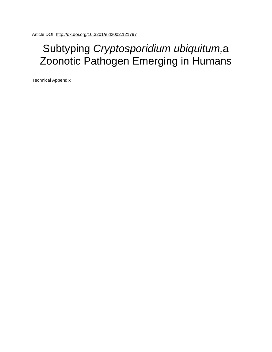## Subtyping *Cryptosporidium ubiquitum,*a Zoonotic Pathogen Emerging in Humans

Technical Appendix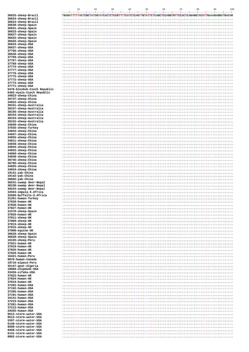|                                                          | 10<br>50<br>60<br>70<br>80<br>90<br>20<br>30<br>40<br>100<br>المتميل بمنحل بمنجل بمنجل المتحيل بمنجل بمنجل بمجيل بمنجل بمنجل بمنجل بمنجل بمنجل بمنجل بمنجل بمنجل بمجيل بمنج |
|----------------------------------------------------------|-----------------------------------------------------------------------------------------------------------------------------------------------------------------------------|
| 36625-sheep-Brazil                                       | TGAGATTTTTACTCGCTATCGTATCACTCTCCGTTTTCATCTCAGTTGTATTCTCAGCTCCAGGTGTTCCACTCAGAGGTACATTGAAAGAGGATGACAG                                                                        |
| 36624-sheep-Brazil<br>36623-sheep-Brazil                 |                                                                                                                                                                             |
| 36630-sheep-Spain                                        |                                                                                                                                                                             |
| 36631-sheep-Spain<br>36633-sheep-Spain                   |                                                                                                                                                                             |
| 36627-sheep-Spain                                        |                                                                                                                                                                             |
| 36632-sheep-Spain<br>36626-sheep-Spain                   |                                                                                                                                                                             |
| 36634-sheep-USA                                          |                                                                                                                                                                             |
| 36637-sheep-USA                                          |                                                                                                                                                                             |
| 37766-sheep-USA<br>36636-sheep-USA                       |                                                                                                                                                                             |
| 37769-sheep-USA                                          |                                                                                                                                                                             |
| 37767-sheep-USA<br>37768-sheep-USA                       |                                                                                                                                                                             |
| 37774-sheep-USA                                          |                                                                                                                                                                             |
| 37777-sheep-USA<br>37776-sheep-USA                       |                                                                                                                                                                             |
| 37775-sheep-USA                                          |                                                                                                                                                                             |
| 37772-sheep-USA<br>37773-sheep-USA                       |                                                                                                                                                                             |
| 37771-sheep-USA                                          |                                                                                                                                                                             |
| 6478-blesbok-Czech Republic<br>6482-nyala-Czech Republic |                                                                                                                                                                             |
| 34023-sheep-China                                        |                                                                                                                                                                             |
| 36737-sheep-China<br>34022-sheep-China                   |                                                                                                                                                                             |
| 38161-sheep-Australia                                    |                                                                                                                                                                             |
| 38157-sheep-Australia<br>38156-sheep-Australia           |                                                                                                                                                                             |
| 38154-sheep-Australia                                    |                                                                                                                                                                             |
| 38153-sheep-Australia                                    |                                                                                                                                                                             |
| 38152-sheep-Australia<br>34049-sheep-China               |                                                                                                                                                                             |
| 37635-sheep-Turkey                                       |                                                                                                                                                                             |
| 34043-sheep-China<br>34047-sheep-China                   |                                                                                                                                                                             |
| 34055-sheep-China                                        |                                                                                                                                                                             |
| 34011-sheep-China<br>34038-sheep-China                   |                                                                                                                                                                             |
| 34044-sheep-China                                        |                                                                                                                                                                             |
| 34032-sheep-China<br>34060-sheep-China                   |                                                                                                                                                                             |
| 34048-sheep-China                                        |                                                                                                                                                                             |
| 36745-sheep-China<br>36785-sheep-China                   |                                                                                                                                                                             |
| 34025-sheep-China                                        |                                                                                                                                                                             |
| 34034-sheep-China<br>19141-yak-China                     |                                                                                                                                                                             |
| 19142-yak-China                                          |                                                                                                                                                                             |
| 28682-yak-China<br>30241-swamp deer-Nepal                |                                                                                                                                                                             |
| 30238-swamp deer-Nepal                                   |                                                                                                                                                                             |
| 30243-swamp deer-Nepal<br>32563-impala-S.Africa          |                                                                                                                                                                             |
| 32560-buffallo-S.Africa                                  |                                                                                                                                                                             |
| 31261-human-Turkey<br>37828-human-UK                     |                                                                                                                                                                             |
| 37830-human-UK                                           |                                                                                                                                                                             |
| 37827-human-UK<br>31570-sheep-Spain                      |                                                                                                                                                                             |
| 37820-human-UK                                           |                                                                                                                                                                             |
| 37811-sheep-UK<br>37809-sheep-UK                         |                                                                                                                                                                             |
| 37813-sheep-UK                                           |                                                                                                                                                                             |
| 37815-sheep-UK                                           |                                                                                                                                                                             |
| 37808-equine-UK<br>36629-sheep-Spain                     |                                                                                                                                                                             |
| 36628-sheep-Spain                                        |                                                                                                                                                                             |
| 18165-sheep-Peru<br>37821-human-UK                       |                                                                                                                                                                             |
| 37818-human-UK<br>37825-human-UK                         |                                                                                                                                                                             |
| 37829-human-UK                                           |                                                                                                                                                                             |
| 16421-human-Peru                                         |                                                                                                                                                                             |
| 9870-human-Canada<br>19716-alpaca-Peru                   |                                                                                                                                                                             |
| 35147-goat-Algeria                                       |                                                                                                                                                                             |
| 18868-chipmunk-USA<br>33456-sifaka-USA                   |                                                                                                                                                                             |
| 37822-human-UK                                           |                                                                                                                                                                             |
| 37824-human-UK<br>37819-human-UK                         |                                                                                                                                                                             |
| 37202-human-USA                                          |                                                                                                                                                                             |
| 37192-human-USA<br>37206-human-USA                       |                                                                                                                                                                             |
| 37191-human-USA                                          |                                                                                                                                                                             |
| 34141-human-USA<br>37215-human-USA                       |                                                                                                                                                                             |
| 37201-human-USA                                          |                                                                                                                                                                             |
| 37212-human-USA<br>29355-human-USA                       |                                                                                                                                                                             |
| 8512-storm-water-USA                                     |                                                                                                                                                                             |
| 8513-storm-water-USA                                     |                                                                                                                                                                             |
| 5397-storm-water-USA<br>6140-storm-water-USA             |                                                                                                                                                                             |
| 8509-storm-water-USA<br>8469-storm-water-USA             |                                                                                                                                                                             |
| 6141-storm-water-USA                                     |                                                                                                                                                                             |
| 8062-storm-water-USA                                     |                                                                                                                                                                             |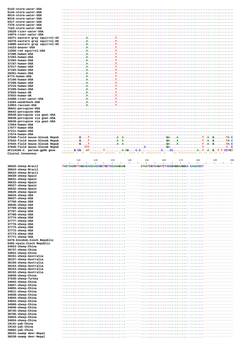| 6143-storm-water-USA                              |                                                                                                                                                                                                                                                                                                                                                                             |
|---------------------------------------------------|-----------------------------------------------------------------------------------------------------------------------------------------------------------------------------------------------------------------------------------------------------------------------------------------------------------------------------------------------------------------------------|
| 6144-storm-water-USA                              |                                                                                                                                                                                                                                                                                                                                                                             |
| 8514-storm-water-USA                              |                                                                                                                                                                                                                                                                                                                                                                             |
| 8510-storm-water-USA                              |                                                                                                                                                                                                                                                                                                                                                                             |
| 6317-storm-water-USA                              |                                                                                                                                                                                                                                                                                                                                                                             |
| 7370-storm-water-USA                              |                                                                                                                                                                                                                                                                                                                                                                             |
| 7163-storm-water-USA                              |                                                                                                                                                                                                                                                                                                                                                                             |
| 15529-river-water-USA                             |                                                                                                                                                                                                                                                                                                                                                                             |
| 14874-river-water-USA                             |                                                                                                                                                                                                                                                                                                                                                                             |
| 18371-eastern gray squirrel-US                    |                                                                                                                                                                                                                                                                                                                                                                             |
| 18370-eastern gray squirrel-US                    |                                                                                                                                                                                                                                                                                                                                                                             |
| 14886-eastern gray squirrel-US                    |                                                                                                                                                                                                                                                                                                                                                                             |
| 14223-beaver-USA                                  |                                                                                                                                                                                                                                                                                                                                                                             |
| 13266-red squirrel-USA                            |                                                                                                                                                                                                                                                                                                                                                                             |
| 37200-human-USA                                   |                                                                                                                                                                                                                                                                                                                                                                             |
| 37203-human-USA                                   |                                                                                                                                                                                                                                                                                                                                                                             |
| 37204-human-USA                                   |                                                                                                                                                                                                                                                                                                                                                                             |
| 37197-human-USA                                   |                                                                                                                                                                                                                                                                                                                                                                             |
| 37217-human-USA                                   |                                                                                                                                                                                                                                                                                                                                                                             |
| 37193-human-USA                                   |                                                                                                                                                                                                                                                                                                                                                                             |
| 29361-human-USA                                   |                                                                                                                                                                                                                                                                                                                                                                             |
| 8774-human-USA                                    |                                                                                                                                                                                                                                                                                                                                                                             |
| 37196-human-USA                                   |                                                                                                                                                                                                                                                                                                                                                                             |
| 37208-human-USA                                   |                                                                                                                                                                                                                                                                                                                                                                             |
| 37216-human-USA                                   |                                                                                                                                                                                                                                                                                                                                                                             |
| 37209-human-USA                                   |                                                                                                                                                                                                                                                                                                                                                                             |
| 37826-human-UK                                    |                                                                                                                                                                                                                                                                                                                                                                             |
| 37833-human-UK                                    |                                                                                                                                                                                                                                                                                                                                                                             |
| 22508-river-water-USA                             |                                                                                                                                                                                                                                                                                                                                                                             |
| 13264-woodchuck-USA                               |                                                                                                                                                                                                                                                                                                                                                                             |
| 12963-raccoon-USA                                 |                                                                                                                                                                                                                                                                                                                                                                             |
| 36641-porcupine-USA                               |                                                                                                                                                                                                                                                                                                                                                                             |
| 36642-porcupine-USA                               |                                                                                                                                                                                                                                                                                                                                                                             |
| 36638-porcupine via goat-USA                      |                                                                                                                                                                                                                                                                                                                                                                             |
| 36639-porcupine via goat-USA                      |                                                                                                                                                                                                                                                                                                                                                                             |
| 36640-porcupine via goat-USA                      |                                                                                                                                                                                                                                                                                                                                                                             |
| 17654-human-USA                                   |                                                                                                                                                                                                                                                                                                                                                                             |
| 17577-human-USA                                   |                                                                                                                                                                                                                                                                                                                                                                             |
| 37211-human-USA                                   |                                                                                                                                                                                                                                                                                                                                                                             |
| 17574-human-USA                                   |                                                                                                                                                                                                                                                                                                                                                                             |
| 37640-field mouse-Slovak Repub                    |                                                                                                                                                                                                                                                                                                                                                                             |
| 37642-field mouse-Slovak Repub                    |                                                                                                                                                                                                                                                                                                                                                                             |
| 37644-field mouse-Slovak Repub                    |                                                                                                                                                                                                                                                                                                                                                                             |
| 37646-field mouse-Slovak Repub                    | $\ldots \ldots \ldots \ldots \ldots$ . The contract $\ldots \ldots \ldots \ldots \ldots \ldots \ldots$ . The contract of $\ldots \ldots \ldots \ldots \ldots$ . The contract of $\ldots \ldots \ldots \ldots \ldots \ldots \ldots$ . The contract of $\ldots \ldots \ldots \ldots \ldots \ldots$ . The contract of $\ldots \ldots \ldots \ldots \ldots \ldots \ldots$ . The |
| AF114166-C. parvum-gp60 gene<br>Clustal Consensus | associates association as a<br>associate as associated as<br>as associated as as                                                                                                                                                                                                                                                                                            |
|                                                   |                                                                                                                                                                                                                                                                                                                                                                             |
|                                                   | 2 <sub>0</sub><br>170<br>190<br>110<br>120<br>130<br>140<br>150<br>160<br>180                                                                                                                                                                                                                                                                                               |
|                                                   | المتما بمتما بمتما بمتما بمتما بمتما بمتما بمتما بمتما بمتما بمتما بمتما بمتما بمتما بمتما بمتما بمتما                                                                                                                                                                                                                                                                      |
| 36625-sheep-Brazil                                |                                                                                                                                                                                                                                                                                                                                                                             |
| 36624-sheep-Brazil                                |                                                                                                                                                                                                                                                                                                                                                                             |
|                                                   |                                                                                                                                                                                                                                                                                                                                                                             |
| 36623-sheep-Brazil                                |                                                                                                                                                                                                                                                                                                                                                                             |
| 36630-sheep-Spain                                 |                                                                                                                                                                                                                                                                                                                                                                             |
| 36631-sheep-Spain                                 |                                                                                                                                                                                                                                                                                                                                                                             |
| 36633-sheep-Spain                                 |                                                                                                                                                                                                                                                                                                                                                                             |
| 36627-sheep-Spain                                 |                                                                                                                                                                                                                                                                                                                                                                             |
| 36632-sheep-Spain                                 |                                                                                                                                                                                                                                                                                                                                                                             |
| 36626-sheep-Spain                                 |                                                                                                                                                                                                                                                                                                                                                                             |
| 36634-sheep-USA                                   | _______________                                                                                                                                                                                                                                                                                                                                                             |
| 36637-sheep-USA                                   |                                                                                                                                                                                                                                                                                                                                                                             |
| 37766-sheep-USA                                   |                                                                                                                                                                                                                                                                                                                                                                             |
| 36636-sheep-USA                                   |                                                                                                                                                                                                                                                                                                                                                                             |
| 37769-sheep-USA                                   |                                                                                                                                                                                                                                                                                                                                                                             |
| 37767-sheep-USA                                   |                                                                                                                                                                                                                                                                                                                                                                             |
| 37768-sheep-USA                                   |                                                                                                                                                                                                                                                                                                                                                                             |
| 37774-sheep-USA                                   |                                                                                                                                                                                                                                                                                                                                                                             |
| 37777-sheep-USA                                   |                                                                                                                                                                                                                                                                                                                                                                             |
| 37776-sheep-USA                                   |                                                                                                                                                                                                                                                                                                                                                                             |
| 37775-sheep-USA                                   |                                                                                                                                                                                                                                                                                                                                                                             |
| 37772-sheep-USA                                   |                                                                                                                                                                                                                                                                                                                                                                             |
| 37773-sheep-USA                                   |                                                                                                                                                                                                                                                                                                                                                                             |
| 37771-sheep-USA                                   |                                                                                                                                                                                                                                                                                                                                                                             |
| 6478-blesbok-Czech Republic                       |                                                                                                                                                                                                                                                                                                                                                                             |
| 6482-nyala-Czech Republic                         |                                                                                                                                                                                                                                                                                                                                                                             |
| 34023-sheep-China                                 |                                                                                                                                                                                                                                                                                                                                                                             |
| 36737-sheep-China                                 |                                                                                                                                                                                                                                                                                                                                                                             |
| 34022-sheep-China                                 |                                                                                                                                                                                                                                                                                                                                                                             |
| 38161-sheep-Australia                             |                                                                                                                                                                                                                                                                                                                                                                             |
| 38157-sheep-Australia                             |                                                                                                                                                                                                                                                                                                                                                                             |
| 38156-sheep-Australia                             |                                                                                                                                                                                                                                                                                                                                                                             |
| 38154-sheep-Australia                             |                                                                                                                                                                                                                                                                                                                                                                             |
| 38153-sheep-Australia                             |                                                                                                                                                                                                                                                                                                                                                                             |
| 38152-sheep-Australia                             |                                                                                                                                                                                                                                                                                                                                                                             |
| 34049-sheep-China                                 |                                                                                                                                                                                                                                                                                                                                                                             |
| 37635-sheep-Turkey                                |                                                                                                                                                                                                                                                                                                                                                                             |
| 34043-sheep-China<br>34047-sheep-China            |                                                                                                                                                                                                                                                                                                                                                                             |
| 34055-sheep-China                                 |                                                                                                                                                                                                                                                                                                                                                                             |
| 34011-sheep-China                                 |                                                                                                                                                                                                                                                                                                                                                                             |
| 34038-sheep-China                                 |                                                                                                                                                                                                                                                                                                                                                                             |
| 34044-sheep-China                                 |                                                                                                                                                                                                                                                                                                                                                                             |
| 34032-sheep-China                                 |                                                                                                                                                                                                                                                                                                                                                                             |
| 34060-sheep-China                                 |                                                                                                                                                                                                                                                                                                                                                                             |
| 34048-sheep-China                                 |                                                                                                                                                                                                                                                                                                                                                                             |
| 36745-sheep-China                                 |                                                                                                                                                                                                                                                                                                                                                                             |
| 36785-sheep-China                                 |                                                                                                                                                                                                                                                                                                                                                                             |
| 34025-sheep-China                                 |                                                                                                                                                                                                                                                                                                                                                                             |
| 34034-sheep-China                                 |                                                                                                                                                                                                                                                                                                                                                                             |
| 19141-yak-China                                   |                                                                                                                                                                                                                                                                                                                                                                             |
| 19142-yak-China                                   |                                                                                                                                                                                                                                                                                                                                                                             |
| 28682-yak-China                                   |                                                                                                                                                                                                                                                                                                                                                                             |
| 30241-swamp deer-Nepal<br>30238-swamp deer-Nepal  |                                                                                                                                                                                                                                                                                                                                                                             |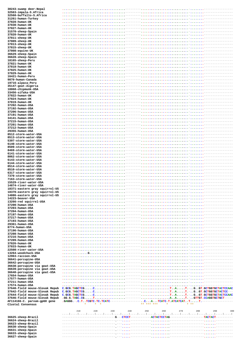| 30243-swamp deer-Nepal                 |                                                                        |                                                                                                            |
|----------------------------------------|------------------------------------------------------------------------|------------------------------------------------------------------------------------------------------------|
| 32563-impala-S.Africa                  |                                                                        |                                                                                                            |
| 32560-buffallo-S.Africa                |                                                                        |                                                                                                            |
| 31261-human-Turkey                     |                                                                        |                                                                                                            |
|                                        |                                                                        |                                                                                                            |
| 37828-human-UK                         |                                                                        | $2.2.2.2.2.2.2.7 =$                                                                                        |
| 37830-human-UK                         |                                                                        |                                                                                                            |
| 37827-human-UK                         |                                                                        |                                                                                                            |
| 31570-sheep-Spain                      |                                                                        | . - - - - - - - -                                                                                          |
| 37820-human-UK                         |                                                                        |                                                                                                            |
| 37811-sheep-UK                         |                                                                        | 2.2.2.2.2.2.2.7                                                                                            |
| 37809-sheep-UK                         |                                                                        |                                                                                                            |
| 37813-sheep-UK                         |                                                                        |                                                                                                            |
| 37815-sheep-UK                         |                                                                        |                                                                                                            |
| 37808-equine-UK                        |                                                                        | -                                                                                                          |
| 36629-sheep-Spain                      |                                                                        |                                                                                                            |
| 36628-sheep-Spain                      |                                                                        |                                                                                                            |
| 18165-sheep-Peru                       |                                                                        |                                                                                                            |
| 37821-human-UK                         |                                                                        |                                                                                                            |
| 37818-human-UK                         |                                                                        |                                                                                                            |
| 37825-human-UK                         |                                                                        |                                                                                                            |
| 37829-human-UK                         |                                                                        | $-1.1.1.1.1.1.0 - - - - - - - -$                                                                           |
| 16421-human-Peru                       |                                                                        | 1.1.1.1.1                                                                                                  |
| 9870-human-Canada                      |                                                                        |                                                                                                            |
| 19716-alpaca-Peru                      |                                                                        |                                                                                                            |
| 35147-goat-Algeria                     |                                                                        |                                                                                                            |
| 18868-chipmunk-USA                     |                                                                        | -                                                                                                          |
| 33456-sifaka-USA                       |                                                                        |                                                                                                            |
| 37822-human-UK                         |                                                                        | - - - -<br>and a complete the complete the complete the complete                                           |
| 37824-human-UK                         |                                                                        |                                                                                                            |
| 37819-human-UK                         |                                                                        |                                                                                                            |
| 37202-human-USA                        |                                                                        |                                                                                                            |
| 37192-human-USA                        |                                                                        |                                                                                                            |
| 37206-human-USA                        |                                                                        |                                                                                                            |
| 37191-human-USA                        |                                                                        |                                                                                                            |
|                                        |                                                                        |                                                                                                            |
| 34141-human-USA                        |                                                                        | $\bullet$ $-$ - -                                                                                          |
| 37215-human-USA                        |                                                                        |                                                                                                            |
| 37201-human-USA                        |                                                                        |                                                                                                            |
| 37212-human-USA                        |                                                                        |                                                                                                            |
| 29355-human-USA                        |                                                                        | $-111111111111 - - - - - - -$                                                                              |
| 8512-storm-water-USA                   |                                                                        |                                                                                                            |
| 8513-storm-water-USA                   |                                                                        |                                                                                                            |
| 5397-storm-water-USA                   |                                                                        | 22222222-00                                                                                                |
| 6140-storm-water-USA                   |                                                                        |                                                                                                            |
| 8509-storm-water-USA                   |                                                                        |                                                                                                            |
| 8469-storm-water-USA                   |                                                                        |                                                                                                            |
| 6141-storm-water-USA                   |                                                                        | ------------------                                                                                         |
| 8062-storm-water-USA                   |                                                                        | . -------------------                                                                                      |
| 6143-storm-water-USA                   |                                                                        |                                                                                                            |
| 6144-storm-water-USA                   |                                                                        | . ------------------                                                                                       |
| 8514-storm-water-USA                   |                                                                        |                                                                                                            |
| 8510-storm-water-USA                   | 1.1.1.1.1.1.1.1.1                                                      |                                                                                                            |
| 6317-storm-water-USA                   |                                                                        |                                                                                                            |
| 7370-storm-water-USA                   | and the company of the company                                         |                                                                                                            |
| 7163-storm-water-USA                   |                                                                        | ------------------                                                                                         |
|                                        |                                                                        |                                                                                                            |
|                                        |                                                                        |                                                                                                            |
| 15529-river-water-USA                  |                                                                        |                                                                                                            |
| 14874-river-water-USA                  |                                                                        |                                                                                                            |
| 18371-eastern grav squirrel-US         |                                                                        |                                                                                                            |
| 18370-eastern gray squirrel-US         |                                                                        |                                                                                                            |
| 14886-eastern gray squirrel-US         |                                                                        |                                                                                                            |
| 14223-beaver-USA                       |                                                                        |                                                                                                            |
| 13266-red squirrel-USA                 |                                                                        |                                                                                                            |
| 37200-human-USA                        |                                                                        |                                                                                                            |
| 37203-human-USA                        |                                                                        |                                                                                                            |
| 37204-human-USA                        |                                                                        |                                                                                                            |
| 37197-human-USA                        |                                                                        |                                                                                                            |
| 37217-human-USA                        |                                                                        |                                                                                                            |
| 37193-human-USA                        |                                                                        |                                                                                                            |
| 29361-human-USA                        |                                                                        |                                                                                                            |
| 8774-human-USA                         |                                                                        |                                                                                                            |
| 37196-human-USA                        |                                                                        |                                                                                                            |
| 37208-human-USA                        |                                                                        |                                                                                                            |
| 37216-human-USA                        |                                                                        |                                                                                                            |
| 37209-human-USA                        |                                                                        |                                                                                                            |
| 37826-human-UK                         |                                                                        |                                                                                                            |
| 37833-human-UK                         |                                                                        |                                                                                                            |
| 22508-river-water-USA                  |                                                                        |                                                                                                            |
| 13264-woodchuck-USA                    |                                                                        |                                                                                                            |
| 12963-raccoon-USA                      |                                                                        |                                                                                                            |
| 36641-porcupine-USA                    |                                                                        |                                                                                                            |
| 36642-porcupine-USA                    |                                                                        |                                                                                                            |
| 36638-porcupine via goat-USA           |                                                                        |                                                                                                            |
| 36639-porcupine via goat-USA           |                                                                        |                                                                                                            |
| 36640-porcupine via goat-USA           |                                                                        |                                                                                                            |
| 17654-human-USA                        |                                                                        |                                                                                                            |
| 17577-human-USA                        |                                                                        |                                                                                                            |
| 37211-human-USA                        |                                                                        |                                                                                                            |
| 17574-human-USA                        |                                                                        |                                                                                                            |
| 37640-field mouse-Slovak Repub         |                                                                        |                                                                                                            |
| 37642-field mouse-Slovak Repub         |                                                                        |                                                                                                            |
| 37644-field mouse-Slovak Repub         |                                                                        |                                                                                                            |
| 37646-field mouse-Slovak Repub         |                                                                        |                                                                                                            |
| AF114166-C. parvum-gp60 gene           | $GAGGG. - .C. T. . TCGTC. TC. TCATC---------CA TCATC.T. ATCATCAT. TTT$ |                                                                                                            |
| Clustal Consensus                      | $\star$ $\star$<br>$\star$                                             | ** *** ***<br>$* * *$<br>$\star$                                                                           |
|                                        |                                                                        |                                                                                                            |
|                                        | 210<br>220<br>230<br>2.40                                              | 250<br>260<br>270<br>280<br>290<br>300                                                                     |
|                                        |                                                                        | ينتخل بينجل بينجل بينجل بينجل بينجل بينجل بينجل بينجل بينجل بينجل بينجل بينجل بينجل بينجل بينجل بينجل بينج |
| 36625-sheep-Brazil                     |                                                                        |                                                                                                            |
| 36624-sheep-Brazil                     |                                                                        |                                                                                                            |
| 36623-sheep-Brazil                     |                                                                        |                                                                                                            |
| 36630-sheep-Spain                      |                                                                        |                                                                                                            |
| 36631-sheep-Spain                      |                                                                        |                                                                                                            |
| 36633-sheep-Spain<br>36627-sheep-Spain |                                                                        |                                                                                                            |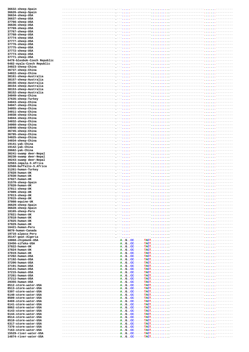| 36632-sheep-Spain                                                                                                                            |                                                                                                                             |                                                                                                                                                                                                                                                         |                 |
|----------------------------------------------------------------------------------------------------------------------------------------------|-----------------------------------------------------------------------------------------------------------------------------|---------------------------------------------------------------------------------------------------------------------------------------------------------------------------------------------------------------------------------------------------------|-----------------|
| 36626-sheep-Spain<br>36634-sheep-USA                                                                                                         |                                                                                                                             |                                                                                                                                                                                                                                                         |                 |
| 36637-sheep-USA                                                                                                                              |                                                                                                                             |                                                                                                                                                                                                                                                         |                 |
| 37766-sheep-USA                                                                                                                              |                                                                                                                             |                                                                                                                                                                                                                                                         |                 |
| 36636-sheep-USA                                                                                                                              |                                                                                                                             |                                                                                                                                                                                                                                                         |                 |
| 37769-sheep-USA                                                                                                                              |                                                                                                                             |                                                                                                                                                                                                                                                         |                 |
| 37767-sheep-USA<br>37768-sheep-USA                                                                                                           |                                                                                                                             |                                                                                                                                                                                                                                                         |                 |
| 37774-sheep-USA                                                                                                                              |                                                                                                                             |                                                                                                                                                                                                                                                         |                 |
| 37777-sheep-USA                                                                                                                              |                                                                                                                             |                                                                                                                                                                                                                                                         |                 |
| 37776-sheep-USA                                                                                                                              |                                                                                                                             |                                                                                                                                                                                                                                                         |                 |
| 37775-sheep-USA                                                                                                                              |                                                                                                                             |                                                                                                                                                                                                                                                         |                 |
| 37772-sheep-USA                                                                                                                              |                                                                                                                             |                                                                                                                                                                                                                                                         |                 |
| 37773-sheep-USA<br>37771-sheep-USA                                                                                                           |                                                                                                                             | -----------<br>------------ <sub>-----</sub> -------                                                                                                                                                                                                    |                 |
| 6478-blesbok-Czech Republic                                                                                                                  |                                                                                                                             |                                                                                                                                                                                                                                                         |                 |
| 6482-nyala-Czech Republic                                                                                                                    |                                                                                                                             |                                                                                                                                                                                                                                                         |                 |
| 34023-sheep-China                                                                                                                            |                                                                                                                             | -----------------------------                                                                                                                                                                                                                           |                 |
| 36737-sheep-China                                                                                                                            |                                                                                                                             |                                                                                                                                                                                                                                                         |                 |
| 34022-sheep-China<br>38161-sheep-Australia                                                                                                   |                                                                                                                             | ----------<br>-----------                                                                                                                                                                                                                               | $-1.11111111 -$ |
| 38157-sheep-Australia                                                                                                                        |                                                                                                                             |                                                                                                                                                                                                                                                         |                 |
| 38156-sheep-Australia                                                                                                                        |                                                                                                                             | ---------------------                                                                                                                                                                                                                                   |                 |
| 38154-sheep-Australia                                                                                                                        |                                                                                                                             |                                                                                                                                                                                                                                                         |                 |
| 38153-sheep-Australia                                                                                                                        |                                                                                                                             |                                                                                                                                                                                                                                                         |                 |
| 38152-sheep-Australia<br>34049-sheep-China                                                                                                   |                                                                                                                             |                                                                                                                                                                                                                                                         |                 |
| 37635-sheep-Turkey                                                                                                                           |                                                                                                                             | ----------- <sub>-----</sub> -------                                                                                                                                                                                                                    |                 |
| 34043-sheep-China                                                                                                                            |                                                                                                                             |                                                                                                                                                                                                                                                         |                 |
| 34047-sheep-China                                                                                                                            |                                                                                                                             | ------------                                                                                                                                                                                                                                            |                 |
| 34055-sheep-China                                                                                                                            |                                                                                                                             |                                                                                                                                                                                                                                                         |                 |
| 34011-sheep-China                                                                                                                            |                                                                                                                             |                                                                                                                                                                                                                                                         |                 |
| 34038-sheep-China<br>34044-sheep-China                                                                                                       |                                                                                                                             |                                                                                                                                                                                                                                                         |                 |
| 34032-sheep-China                                                                                                                            |                                                                                                                             | ------------                                                                                                                                                                                                                                            |                 |
| 34060-sheep-China                                                                                                                            |                                                                                                                             |                                                                                                                                                                                                                                                         |                 |
| 34048-sheep-China                                                                                                                            |                                                                                                                             | - -                                                                                                                                                                                                                                                     |                 |
| 36745-sheep-China                                                                                                                            |                                                                                                                             | ----------                                                                                                                                                                                                                                              |                 |
| 36785-sheep-China<br>34025-sheep-China                                                                                                       |                                                                                                                             |                                                                                                                                                                                                                                                         |                 |
| 34034-sheep-China                                                                                                                            |                                                                                                                             |                                                                                                                                                                                                                                                         |                 |
| 19141-yak-China                                                                                                                              |                                                                                                                             |                                                                                                                                                                                                                                                         |                 |
| 19142-yak-China                                                                                                                              |                                                                                                                             |                                                                                                                                                                                                                                                         |                 |
| 28682-yak-China                                                                                                                              |                                                                                                                             |                                                                                                                                                                                                                                                         |                 |
| 30241-swamp deer-Nepal<br>30238-swamp deer-Nepal                                                                                             |                                                                                                                             | -------- <sub>-----</sub> -------<br>-----------                                                                                                                                                                                                        |                 |
| 30243-swamp deer-Nepal                                                                                                                       |                                                                                                                             | $1.1.1 - 1.1.1 - 1.1.1 - 1.1.1.1 - 1.1.1.1 - 1.1.1.1 - 1.1.1.1 - 1.1.1.1 - 1.1.1.1 - 1.1.1.1 - 1.1.1.1 - 1.1.1.1 - 1.1.1.1 - 1.1.1.1 - 1.1.1.1 - 1.1.1.1 - 1.1.1.1 - 1.1.1.1 - 1.1.1.1 - 1.1.1.1 - 1.1.1.1 - 1.1.1.1 - 1.1.1.1 - 1.1.1.1 - 1.1.1.1 - 1$ |                 |
| 32563-impala-S.Africa                                                                                                                        |                                                                                                                             | .                                                                                                                                                                                                                                                       |                 |
| 32560-buffallo-S.Africa                                                                                                                      |                                                                                                                             |                                                                                                                                                                                                                                                         |                 |
| 31261-human-Turkey<br>37828-human-UK                                                                                                         |                                                                                                                             |                                                                                                                                                                                                                                                         |                 |
| 37830-human-UK                                                                                                                               |                                                                                                                             |                                                                                                                                                                                                                                                         |                 |
| 37827-human-UK                                                                                                                               |                                                                                                                             |                                                                                                                                                                                                                                                         |                 |
| 31570-sheep-Spain                                                                                                                            | -------------------------------------                                                                                       |                                                                                                                                                                                                                                                         |                 |
| 37820-human-UK<br>37811-sheep-UK                                                                                                             |                                                                                                                             |                                                                                                                                                                                                                                                         |                 |
| 37809-sheep-UK                                                                                                                               |                                                                                                                             |                                                                                                                                                                                                                                                         |                 |
| 37813-sheep-UK                                                                                                                               |                                                                                                                             |                                                                                                                                                                                                                                                         |                 |
| 37815-sheep-UK                                                                                                                               |                                                                                                                             |                                                                                                                                                                                                                                                         |                 |
| 37808-equine-UK                                                                                                                              |                                                                                                                             |                                                                                                                                                                                                                                                         |                 |
| 36629-sheep-Spain<br>36628-sheep-Spain                                                                                                       |                                                                                                                             |                                                                                                                                                                                                                                                         |                 |
| 18165-sheep-Peru                                                                                                                             |                                                                                                                             |                                                                                                                                                                                                                                                         |                 |
| 37821-human-UK                                                                                                                               |                                                                                                                             |                                                                                                                                                                                                                                                         |                 |
| 37818-human-UK                                                                                                                               |                                                                                                                             |                                                                                                                                                                                                                                                         |                 |
| 37825-human-UK                                                                                                                               |                                                                                                                             |                                                                                                                                                                                                                                                         |                 |
| 37829-human-UK<br>16421-human-Peru                                                                                                           |                                                                                                                             |                                                                                                                                                                                                                                                         |                 |
| 9870-human-Canada                                                                                                                            |                                                                                                                             |                                                                                                                                                                                                                                                         |                 |
| 19716-alpaca-Peru                                                                                                                            |                                                                                                                             |                                                                                                                                                                                                                                                         |                 |
| 35147-goat-Algeria                                                                                                                           |                                                                                                                             |                                                                                                                                                                                                                                                         |                 |
| 18868-chipmunk-USA                                                                                                                           |                                                                                                                             |                                                                                                                                                                                                                                                         |                 |
| 33456-sifaka-USA<br>37822-human-UK                                                                                                           |                                                                                                                             |                                                                                                                                                                                                                                                         |                 |
| 37824-human-UK                                                                                                                               |                                                                                                                             |                                                                                                                                                                                                                                                         |                 |
| 37819-human-UK                                                                                                                               |                                                                                                                             |                                                                                                                                                                                                                                                         |                 |
| 37202-human-USA                                                                                                                              |                                                                                                                             |                                                                                                                                                                                                                                                         |                 |
| 37192-human-USA<br>37206-human-USA                                                                                                           |                                                                                                                             |                                                                                                                                                                                                                                                         |                 |
| 37191-human-USA                                                                                                                              |                                                                                                                             |                                                                                                                                                                                                                                                         |                 |
| 34141-human-USA                                                                                                                              |                                                                                                                             |                                                                                                                                                                                                                                                         |                 |
| 37215-human-USA                                                                                                                              |                                                                                                                             |                                                                                                                                                                                                                                                         |                 |
| 37201-human-USA                                                                                                                              |                                                                                                                             |                                                                                                                                                                                                                                                         |                 |
| 37212-human-USA<br>29355-human-USA                                                                                                           |                                                                                                                             |                                                                                                                                                                                                                                                         |                 |
| 8512-storm-water-USA                                                                                                                         |                                                                                                                             |                                                                                                                                                                                                                                                         |                 |
| 8513-storm-water-USA                                                                                                                         |                                                                                                                             |                                                                                                                                                                                                                                                         |                 |
| 5397-storm-water-USA                                                                                                                         |                                                                                                                             |                                                                                                                                                                                                                                                         |                 |
| 6140-storm-water-USA                                                                                                                         |                                                                                                                             |                                                                                                                                                                                                                                                         |                 |
| 8509-storm-water-USA                                                                                                                         |                                                                                                                             |                                                                                                                                                                                                                                                         |                 |
|                                                                                                                                              |                                                                                                                             |                                                                                                                                                                                                                                                         |                 |
| 8469-storm-water-USA<br>6141-storm-water-USA                                                                                                 |                                                                                                                             |                                                                                                                                                                                                                                                         |                 |
| 8062-storm-water-USA                                                                                                                         |                                                                                                                             |                                                                                                                                                                                                                                                         |                 |
| 6143-storm-water-USA                                                                                                                         |                                                                                                                             |                                                                                                                                                                                                                                                         |                 |
|                                                                                                                                              |                                                                                                                             |                                                                                                                                                                                                                                                         |                 |
|                                                                                                                                              |                                                                                                                             |                                                                                                                                                                                                                                                         |                 |
|                                                                                                                                              |                                                                                                                             |                                                                                                                                                                                                                                                         |                 |
|                                                                                                                                              |                                                                                                                             |                                                                                                                                                                                                                                                         |                 |
| 6144-storm-water-USA<br>8514-storm-water-USA<br>8510-storm-water-USA<br>6317-storm-water-USA<br>7370-storm-water-USA<br>7163-storm-water-USA |                                                                                                                             |                                                                                                                                                                                                                                                         |                 |
| 15529-river-water-USA<br>14874-river-water-USA                                                                                               | ---------------------------------- <mark>-AGCC------TACT</mark> --------------------- <sub>-</sub> <sup>_____</sup> ------- |                                                                                                                                                                                                                                                         |                 |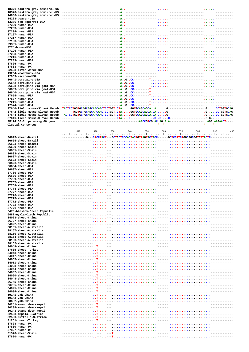| 18371-eastern gray squirrel-US |                   |                                                                               |                 |
|--------------------------------|-------------------|-------------------------------------------------------------------------------|-----------------|
| 18370-eastern gray squirrel-US |                   |                                                                               |                 |
| 14886-eastern gray squirrel-US |                   |                                                                               |                 |
| 14223-beaver-USA               |                   |                                                                               |                 |
| 13266-red squirrel-USA         |                   |                                                                               |                 |
| 37200-human-USA                |                   |                                                                               |                 |
| 37203-human-USA                |                   |                                                                               |                 |
| 37204-human-USA                |                   |                                                                               |                 |
| 37197-human-USA                |                   |                                                                               |                 |
| 37217-human-USA                |                   |                                                                               |                 |
| 37193-human-USA                |                   |                                                                               |                 |
| 29361-human-USA                |                   |                                                                               |                 |
| 8774-human-USA                 |                   |                                                                               |                 |
| 37196-human-USA                |                   |                                                                               |                 |
| 37208-human-USA                |                   |                                                                               |                 |
| 37216-human-USA                |                   |                                                                               |                 |
| 37209-human-USA                |                   |                                                                               |                 |
| 37826-human-UK                 |                   |                                                                               |                 |
| 37833-human-UK                 |                   |                                                                               |                 |
| 22508-river-water-USA          |                   |                                                                               |                 |
| 13264-woodchuck-USA            |                   |                                                                               |                 |
| 12963-raccoon-USA              |                   |                                                                               |                 |
| 36641-porcupine-USA            |                   |                                                                               |                 |
| 36642-porcupine-USA            |                   |                                                                               |                 |
| 36638-porcupine via goat-USA   |                   |                                                                               |                 |
| 36639-porcupine via goat-USA   |                   |                                                                               |                 |
| 36640-porcupine via goat-USA   |                   |                                                                               |                 |
| 17654-human-USA                |                   |                                                                               |                 |
| 17577-human-USA                |                   |                                                                               |                 |
| 37211-human-USA                |                   |                                                                               |                 |
| 17574-human-USA                |                   |                                                                               |                 |
| 37640-field mouse-Slovak Repub |                   | TACTCCTGGTGCAGCAGCAACACTCCTGGT.CTAGGTGCAGCAGCAAG.----------------GCCTGGTGCAG  |                 |
| 37642-field mouse-Slovak Repub |                   | ------TGGTGCAGCAGCAACACTCCTGGT.CTAGGTGCAGCAGCAAG.-----------------GCCTGGTGCAG |                 |
| 37644-field mouse-Slovak Repub |                   | TACTCCTGGTGCAGCAGCAACAACTCCTGGT.CTAGGTGCAGCAGCAAG.----------------GCCTGGTGCAG |                 |
| 37646-field mouse-Slovak Repub |                   |                                                                               |                 |
| AF114166-C. parvum-gp60 gene   |                   |                                                                               |                 |
| Clustal Consensus              |                   |                                                                               | $\Delta \theta$ |
|                                |                   |                                                                               |                 |
|                                | 310<br>320<br>330 | 340<br>350<br>360<br>370<br>380                                               | 390<br>400      |
|                                |                   |                                                                               |                 |

36625-sheep-Brazil 36624-sheep-Brazil 36623-sheep-Brazil 36630-sheep-Spain 36631-sheep-Spain 36633-sheep-Spain  $36627$  -  $sheep$  -  ${\tt Spain}$ 36632-sheep-Spain 36626-sheep-Spain 36634-sheep-USA 36637-sheep-USA 37766-sheep-USA 36636-sheep-USA 37769-sheep-USA<br>37767-sheep-USA 37768-sheep-USA 37774-sheep-USA 37777-sheep-USA 37776-sheep-USA 37775-sheep-USA 37772-sheep-USA 37773-sheep-USA 37771-sheep-USA 6478-blesbok-Czech Rep 6482-nyala-Czech Repub 34023-sheep-China 36737-sheep-China 34022-sheep-China 38161-sheep-Australia 38157-sheep-Australia 38156-sheep-Australia 38154-sheep-Australia 38153-sheep-Australia 38152-sheep-Australia 34049-sheep-China 37635-sheep-Turkey 34043-sheep-China 34047-sheep-China 34055-sheep-China 34011-sheep-China 34038-sheep-China 34044-sheep-China 34032-sheep-China 34060-sheep-China 34048-sheep-China 36745-sheep-China 36785-sheep-China 34025-sheep-China  $34034$ -sheep-China 19141-yak-China 19142-yak-China  $28682 - yak-China$ 30241-swamp deer-Nepal 30238-swamp deer-Nepal 30243-swamp deer-Nepal 32563-impala-S.Africa<br>32560-buffallo-S.Afric 31261-human-Turkey 37828-human-UK 37830-human-UK 37827-human-UK 31570-sheep-Spain 37820-human-UK

|       | 310 | 320 | 330 | 340 | 350 | 360 | 370           | 380 | 400<br>390                                                                                                     |
|-------|-----|-----|-----|-----|-----|-----|---------------|-----|----------------------------------------------------------------------------------------------------------------|
|       |     |     |     |     |     |     |               |     | ينتير  ينتير  ينتير  ينتير  ينتير  ينتير  ينتير  ينتير  ينتير  ينتير  ينتير  ينتير  ينتير  ينتير  ينتير  ينتير |
|       |     |     |     |     |     |     |               |     |                                                                                                                |
|       |     |     |     |     |     |     |               |     |                                                                                                                |
|       |     |     |     |     |     |     |               |     |                                                                                                                |
|       |     |     |     |     |     |     |               |     |                                                                                                                |
|       |     |     |     |     |     |     |               |     |                                                                                                                |
|       |     |     |     |     |     |     |               |     |                                                                                                                |
|       |     |     |     |     |     |     |               |     |                                                                                                                |
|       |     |     |     |     |     |     |               |     |                                                                                                                |
|       |     |     |     |     |     |     |               |     |                                                                                                                |
|       |     |     |     |     |     |     |               |     |                                                                                                                |
|       |     |     |     |     |     |     |               |     |                                                                                                                |
|       |     |     |     |     |     |     |               |     |                                                                                                                |
|       |     |     |     |     |     |     |               |     |                                                                                                                |
|       |     |     |     |     |     |     |               |     |                                                                                                                |
|       |     |     |     |     |     |     |               |     |                                                                                                                |
|       |     |     |     |     |     |     |               |     |                                                                                                                |
|       |     |     |     |     |     |     |               |     |                                                                                                                |
|       |     |     |     |     |     |     |               |     |                                                                                                                |
|       |     |     |     |     |     |     |               |     |                                                                                                                |
| ublic |     |     |     |     |     |     |               |     |                                                                                                                |
| lic   |     |     |     |     |     |     |               |     |                                                                                                                |
|       |     |     |     |     |     |     |               |     |                                                                                                                |
|       |     |     |     |     |     |     |               |     |                                                                                                                |
|       |     |     |     |     |     |     |               |     |                                                                                                                |
|       |     |     |     |     |     |     |               |     |                                                                                                                |
|       |     |     |     |     |     |     |               |     |                                                                                                                |
|       |     |     |     |     |     |     |               |     |                                                                                                                |
|       |     |     |     |     |     |     |               |     |                                                                                                                |
|       |     |     |     |     |     |     |               |     |                                                                                                                |
|       |     |     |     |     |     |     |               |     |                                                                                                                |
|       |     |     |     |     |     |     |               |     |                                                                                                                |
|       |     |     |     |     |     |     |               |     |                                                                                                                |
|       |     |     |     |     |     |     |               |     |                                                                                                                |
|       |     |     |     |     |     |     |               |     |                                                                                                                |
|       |     |     |     |     |     |     |               |     |                                                                                                                |
|       |     |     |     |     |     |     |               |     |                                                                                                                |
|       |     |     |     |     |     |     |               |     |                                                                                                                |
|       |     |     |     |     |     |     |               |     |                                                                                                                |
|       |     |     |     |     |     |     |               |     |                                                                                                                |
|       |     |     |     |     |     |     |               |     |                                                                                                                |
|       |     |     |     |     |     |     |               |     |                                                                                                                |
|       |     |     |     |     |     |     |               |     |                                                                                                                |
|       |     |     |     |     |     |     |               |     |                                                                                                                |
|       |     |     |     |     |     |     | --- <b></b> - |     |                                                                                                                |
|       |     |     |     |     |     |     |               |     |                                                                                                                |
|       |     |     |     |     |     |     |               |     |                                                                                                                |
|       |     |     |     |     |     |     |               |     |                                                                                                                |
|       |     |     |     |     |     |     |               |     |                                                                                                                |
| a     |     |     |     |     |     |     |               |     |                                                                                                                |
|       |     |     |     |     |     |     | --- <b></b>   |     |                                                                                                                |
|       |     |     |     |     |     |     |               |     |                                                                                                                |
|       |     |     |     |     |     |     |               |     |                                                                                                                |
|       |     |     |     |     |     |     |               |     |                                                                                                                |
|       |     |     |     |     |     |     |               |     |                                                                                                                |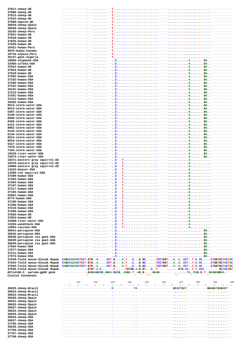| 37811-sheep-UK                     |                      |                                                                                                              |
|------------------------------------|----------------------|--------------------------------------------------------------------------------------------------------------|
| 37809-sheep-UK                     |                      |                                                                                                              |
| 37813-sheep-UK                     |                      | $T_{\rm{max}}$                                                                                               |
| 37815-sheep-UK                     |                      | -T.,                                                                                                         |
|                                    |                      |                                                                                                              |
| 37808-equine-UK                    |                      |                                                                                                              |
| 36629-sheep-Spain                  | -                    |                                                                                                              |
| 36628-sheep-Spain                  |                      |                                                                                                              |
| 18165-sheep-Peru                   |                      |                                                                                                              |
| 37821-human-UK                     |                      | . <b>.</b> <del>.</del>                                                                                      |
| 37818-human-UK                     |                      | $\mathbf{T}_{\mathrm{max}}$                                                                                  |
| 37825-human-UK                     |                      |                                                                                                              |
| 37829-human-UK                     |                      |                                                                                                              |
| 16421-human-Peru                   |                      | -T                                                                                                           |
|                                    |                      |                                                                                                              |
| 9870-human-Canada                  |                      |                                                                                                              |
| 19716-alpaca-Peru                  |                      |                                                                                                              |
| 35147-goat-Algeria                 |                      |                                                                                                              |
| 18868-chipmunk-USA                 |                      | $---$<br>$\cdot$ . $\cdot$ .                                                                                 |
| 33456-sifaka-USA                   |                      | $-$ -ACA<br>.                                                                                                |
| 37822-human-UK                     |                      | C <sub>1</sub>                                                                                               |
| 37824-human-UK                     |                      | $---$                                                                                                        |
| 37819-human-UK                     |                      | $C$ .                                                                                                        |
| 37202-human-USA                    |                      | $---$<br>$C_{\rm max}$<br>and a construction of the construction of the                                      |
| 37192-human-USA                    |                      | C <sub>1</sub><br>$---$                                                                                      |
|                                    |                      |                                                                                                              |
| 37206-human-USA                    |                      | $---$                                                                                                        |
| 37191-human-USA                    |                      |                                                                                                              |
| 34141-human-USA                    |                      | $\cdot$ . C                                                                                                  |
| 37215-human-USA                    |                      |                                                                                                              |
| 37201-human-USA                    |                      | C <sub>1</sub>                                                                                               |
| 37212-human-USA                    |                      | $---,$                                                                                                       |
| 29355-human-USA                    |                      | C <sub>1</sub><br>$---,$                                                                                     |
| 8512-storm-water-USA               |                      | $---$                                                                                                        |
| 8513-storm-water-USA               |                      | $---,$<br>.C.                                                                                                |
| 5397-storm-water-USA               |                      |                                                                                                              |
|                                    |                      |                                                                                                              |
| 6140-storm-water-USA               |                      | $.C.$ .                                                                                                      |
| 8509-storm-water-USA               |                      | C <sub>1</sub>                                                                                               |
| 8469-storm-water-USA               |                      | $\cdot$ . C. $\cdot$<br>---AGA-                                                                              |
| 6141-storm-water-USA               |                      | C <sub>1</sub>                                                                                               |
| 8062-storm-water-USA               |                      | ---AGA-                                                                                                      |
| 6143-storm-water-USA               |                      | C <sub>1</sub>                                                                                               |
| 6144-storm-water-USA               |                      |                                                                                                              |
| 8514-storm-water-USA               |                      | ---ACA--<br>. <del>.</del>                                                                                   |
| 8510-storm-water-USA               |                      |                                                                                                              |
| 6317-storm-water-USA               |                      |                                                                                                              |
| 7370-storm-water-USA               |                      | ---AGA--                                                                                                     |
| 7163-storm-water-USA               |                      | $---$                                                                                                        |
| 15529-river-water-USA              |                      | --AGA-                                                                                                       |
| 14874-river-water-USA              |                      | $---$                                                                                                        |
| 18371-eastern gray squirrel-US     |                      | $-C--T.$<br>---A--                                                                                           |
| 18370-eastern gray squirrel-US     |                      | ---A<br>---C---T-                                                                                            |
| 14886-eastern gray squirrel-US     |                      | ---A                                                                                                         |
|                                    |                      |                                                                                                              |
|                                    |                      |                                                                                                              |
| 14223-beaver-USA                   |                      | --A-                                                                                                         |
| 13266-red squirrel-USA             |                      | --A                                                                                                          |
| 37200-human-USA                    |                      | c                                                                                                            |
| 37203-human-USA                    |                      | $\cdot$ . C<br>--A                                                                                           |
| 37204-human-USA                    |                      |                                                                                                              |
| 37197-human-USA                    |                      | ---A<br>$\cdot$ . C                                                                                          |
| 37217-human-USA                    |                      |                                                                                                              |
| 37193-human-USA                    |                      |                                                                                                              |
| 29361-human-USA                    |                      | .                                                                                                            |
| 8774-human-USA                     |                      |                                                                                                              |
|                                    |                      |                                                                                                              |
| 37196-human-USA                    |                      |                                                                                                              |
| 37208-human-USA                    |                      |                                                                                                              |
| 37216-human-USA                    |                      |                                                                                                              |
| 37209-human-USA                    |                      |                                                                                                              |
| 37826-human-UK                     |                      |                                                                                                              |
| 37833-human-UK                     |                      |                                                                                                              |
| 22508-river-water-USA              |                      |                                                                                                              |
| 13264-woodchuck-USA                |                      |                                                                                                              |
| 12963-raccoon-USA                  |                      |                                                                                                              |
| 36641-porcupine-USA                |                      |                                                                                                              |
| 36642-porcupine-USA                |                      |                                                                                                              |
| 36638-porcupine via goat-USA       |                      |                                                                                                              |
| 36639-porcupine via goat-USA       |                      |                                                                                                              |
| 36640-porcupine via goat-USA       |                      |                                                                                                              |
| 17654-human-USA                    | ---------------,---, |                                                                                                              |
| 17577-human-USA                    |                      |                                                                                                              |
| 37211-human-USA                    |                      |                                                                                                              |
|                                    |                      |                                                                                                              |
| 17574-human-USA                    |                      |                                                                                                              |
| 37640-field mouse-Slovak Repub     |                      | CAGCAACAACTCCT.GTGACCT.GA.TCG.GCTCCTGGTAACCT.T.C.ACCTGGTGCTACTAC                                             |
| 37642-field mouse-Slovak Repub     |                      | CAGCAACAACTCCT.GTGACCT.GA.TCG.GCTCCTGGTAACCTT.C.ACCTGGTGCTACTAC                                              |
| 37644-field mouse-Slovak Repub     |                      | CAGCAACAACTCCT.GTGACCT.GA.TCG.GCTCCTGGTAACCT.T.C.ACCTGGTGCTACTAC                                             |
| 37646-field mouse-Slovak Repub     |                      | --------------.GTGT.A.C. --- . T. TGTGG.A.G.GT.C. . T------ GTG.CA. . T. T.ACC. ------GCTCCTGT               |
| AF114166-C. parvum-gp60 gene       |                      | -GAGAAGACG.AGAA.GCAGAAGA.TAG.GGAAG---------TACAG.G.TGAAGAGGAA-----                                           |
| Clustal Consensus                  | $\mathbf{d}$         | $***$                                                                                                        |
|                                    |                      |                                                                                                              |
|                                    | 410<br>420           | 450<br>470<br>480<br>430<br>440<br>460<br>490<br>500                                                         |
|                                    |                      | ينتيل بينتر إنتينر إنتينر البينر إنتينر إنتينر إنتينر إنتينر البينر إنتين إنتينر إنتينر إنتينر إنتينر إنتينر |
| 36625-sheep-Brazil                 |                      |                                                                                                              |
| 36624-sheep-Brazil                 |                      |                                                                                                              |
| 36623-sheep-Brazil                 |                      |                                                                                                              |
| 36630-sheep-Spain                  |                      |                                                                                                              |
| 36631-sheep-Spain                  |                      |                                                                                                              |
| 36633-sheep-Spain                  |                      |                                                                                                              |
| 36627-sheep-Spain                  |                      |                                                                                                              |
| 36632-sheep-Spain                  |                      |                                                                                                              |
| 36626-sheep-Spain                  |                      |                                                                                                              |
| 36634-sheep-USA                    |                      |                                                                                                              |
| 36637-sheep-USA                    |                      |                                                                                                              |
| 37766-sheep-USA                    |                      |                                                                                                              |
| 36636-sheep-USA                    |                      |                                                                                                              |
|                                    |                      |                                                                                                              |
| 37769-sheep-USA<br>37767-sheep-USA |                      |                                                                                                              |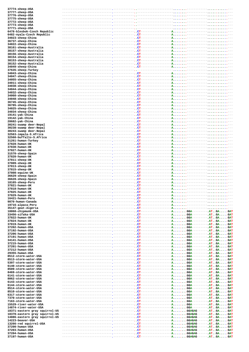| 37774-sheep-USA                                  |                                                                                                                                                                                                                               |                                     |                                                     |  |                |  |
|--------------------------------------------------|-------------------------------------------------------------------------------------------------------------------------------------------------------------------------------------------------------------------------------|-------------------------------------|-----------------------------------------------------|--|----------------|--|
| 37777-sheep-USA                                  |                                                                                                                                                                                                                               |                                     |                                                     |  |                |  |
| 37776-sheep-USA                                  |                                                                                                                                                                                                                               |                                     |                                                     |  |                |  |
| 37775-sheep-USA                                  |                                                                                                                                                                                                                               |                                     |                                                     |  |                |  |
| 37772-sheep-USA                                  |                                                                                                                                                                                                                               |                                     |                                                     |  |                |  |
| 37773-sheep-USA                                  |                                                                                                                                                                                                                               |                                     |                                                     |  |                |  |
| 37771-sheep-USA<br>6478-blesbok-Czech Republic   |                                                                                                                                                                                                                               |                                     |                                                     |  |                |  |
| 6482-nyala-Czech Republic                        |                                                                                                                                                                                                                               | $-$ CT $-$                          | $A \cdot \cdot \cdot \cdot \cdot \cdot$             |  |                |  |
| 34023-sheep-China                                |                                                                                                                                                                                                                               | $\ldots$ CT-                        | А.                                                  |  |                |  |
| 36737-sheep-China                                |                                                                                                                                                                                                                               | $ CT - -$                           | $A \cdot \cdot \cdot \cdot \cdot \cdot$             |  |                |  |
| 34022-sheep-China                                |                                                                                                                                                                                                                               | $-$ CT-                             | $-A.$                                               |  |                |  |
| 38161-sheep-Australia                            |                                                                                                                                                                                                                               | $--$ CT $--$                        | A                                                   |  |                |  |
| 38157-sheep-Australia                            |                                                                                                                                                                                                                               | $--$ CT $--$                        | -A. -                                               |  | . - -          |  |
| 38156-sheep-Australia                            |                                                                                                                                                                                                                               | $--$ CT $-$                         | A.,                                                 |  |                |  |
| 38154-sheep-Australia                            |                                                                                                                                                                                                                               | $-- CT-$                            | $A \cdot \cdot \cdot \cdot \cdot \cdot$             |  |                |  |
| 38153-sheep-Australia                            |                                                                                                                                                                                                                               | $-- CT$                             | Α.                                                  |  |                |  |
| 38152-sheep-Australia                            |                                                                                                                                                                                                                               | $---$ . $CT---$                     | $-A. \ldots.$                                       |  |                |  |
| 34049-sheep-China                                |                                                                                                                                                                                                                               | $\ldots$ CT-                        | A                                                   |  |                |  |
| 37635-sheep-Turkey                               |                                                                                                                                                                                                                               | -- -----<br>$-$ . $CT-$             |                                                     |  |                |  |
| 34043-sheep-China<br>34047-sheep-China           |                                                                                                                                                                                                                               | $ C T -$                            | $-A.$<br>$-A.$                                      |  |                |  |
| 34055-sheep-China                                |                                                                                                                                                                                                                               | $-$ CT-                             | $-A$ -                                              |  |                |  |
| 34011-sheep-China                                |                                                                                                                                                                                                                               | $--$ CT $-$                         | Α.                                                  |  |                |  |
| 34038-sheep-China                                |                                                                                                                                                                                                                               | $-- CT---$                          | $--A.$                                              |  |                |  |
| 34044-sheep-China                                |                                                                                                                                                                                                                               | $-$ CT-                             | $A$ .                                               |  |                |  |
| 34032-sheep-China                                |                                                                                                                                                                                                                               | $-- CT--$                           | A                                                   |  | . <b>.</b> - - |  |
| 34060-sheep-China                                |                                                                                                                                                                                                                               | $-$ CT $-$                          | $-A$ -                                              |  | . - - -        |  |
| 34048-sheep-China                                |                                                                                                                                                                                                                               | $-1.2$ CT $-$                       | A                                                   |  |                |  |
| 36745-sheep-China                                |                                                                                                                                                                                                                               | $-$ CT-                             | $A \cdot \cdot \cdot \cdot \cdot \cdot$             |  |                |  |
| 36785-sheep-China                                |                                                                                                                                                                                                                               | $-- CT$                             | A.,                                                 |  |                |  |
| 34025-sheep-China                                |                                                                                                                                                                                                                               | $--- 1. C T ---$                    | $-A. \ldots.$                                       |  |                |  |
| 34034-sheep-China                                |                                                                                                                                                                                                                               | $--$ CT-                            | Α.                                                  |  |                |  |
| 19141-yak-China                                  |                                                                                                                                                                                                                               | $--$ CT $-$                         | $-A. \ldots.$                                       |  |                |  |
| 19142-yak-China                                  |                                                                                                                                                                                                                               | $\cdot$ $\cdot$ CT-<br>$--$ CT $--$ | A.,                                                 |  |                |  |
| 28682-yak-China                                  |                                                                                                                                                                                                                               | $-$ CT $\cdot$                      | A<br>$-A.$                                          |  |                |  |
| 30241-swamp deer-Nepal                           |                                                                                                                                                                                                                               | – CT-                               | $A \cdot \cdot \cdot \cdot \cdot \cdot$             |  |                |  |
| 30238-swamp deer-Nepal<br>30243-swamp deer-Nepal |                                                                                                                                                                                                                               | $--$ CT $-$                         | $--A$ $-$                                           |  |                |  |
| 32563-impala-S.Africa                            |                                                                                                                                                                                                                               | $-- CT$                             | A                                                   |  |                |  |
| 32560-buffallo-S.Africa                          |                                                                                                                                                                                                                               | $---$ . $CT--$                      | $--A$ $--$                                          |  | . <b>.</b> - - |  |
| 31261-human-Turkey                               |                                                                                                                                                                                                                               | $---$ . $CT-$                       | A                                                   |  |                |  |
| 37828-human-UK                                   |                                                                                                                                                                                                                               | ----------- CT---                   | -A. --                                              |  |                |  |
| 37830-human-UK                                   |                                                                                                                                                                                                                               | $-$ CT $-$                          | $A \cdot \cdot \cdot \cdot \cdot \cdot$             |  |                |  |
| 37827-human-UK                                   |                                                                                                                                                                                                                               | $---.$ $CT--$                       | $A \cdot \cdot \cdot \cdot \cdot \cdot$             |  |                |  |
| 31570-sheep-Spain                                |                                                                                                                                                                                                                               | $-$ CT $-$                          | $-A$ –                                              |  |                |  |
| 37820-human-UK                                   |                                                                                                                                                                                                                               | $--$ CT $-$                         | A.,                                                 |  |                |  |
| 37811-sheep-UK                                   |                                                                                                                                                                                                                               | $-$ CT $\cdot$                      | $A \cdot \cdot \cdot \cdot \cdot \cdot$             |  |                |  |
| 37809-sheep-UK                                   |                                                                                                                                                                                                                               | $--$ CT                             | А.                                                  |  |                |  |
| 37813-sheep-UK                                   |                                                                                                                                                                                                                               | $---$ . $CT--$                      | $-$ -A-                                             |  |                |  |
| 37815-sheep-UK                                   |                                                                                                                                                                                                                               | $-$ CT $-$<br>$--$ CT $--$          | A                                                   |  | . - - -        |  |
| 37808-equine-UK<br>36629-sheep-Spain             |                                                                                                                                                                                                                               | $-$ CT $-$                          | $A \cdot \cdot \cdot \cdot \cdot \cdot$<br>$-A$ $-$ |  |                |  |
| 36628-sheep-Spain                                |                                                                                                                                                                                                                               | --.------------.CT--                | $A \cdot \cdot \cdot \cdot \cdot \cdot$             |  |                |  |
| 18165-sheep-Peru                                 |                                                                                                                                                                                                                               | $- \_$ CT $-$                       | $-A. \ldots. \ldots$                                |  |                |  |
| 37821-human-UK                                   |                                                                                                                                                                                                                               |                                     | <b>A.</b> .                                         |  |                |  |
| 37818-human-UK                                   |                                                                                                                                                                                                                               | --.------------CT----               | $-A. \ldots.$                                       |  |                |  |
| 37825-human-UK                                   |                                                                                                                                                                                                                               |                                     | $-A.$ .                                             |  |                |  |
| 37829-human-UK                                   |                                                                                                                                                                                                                               |                                     |                                                     |  |                |  |
| 16421-human-Peru                                 |                                                                                                                                                                                                                               |                                     |                                                     |  | - <b></b> ---  |  |
| 9870-human-Canada                                |                                                                                                                                                                                                                               |                                     |                                                     |  |                |  |
| 19716-alpaca-Peru                                |                                                                                                                                                                                                                               |                                     |                                                     |  |                |  |
| 35147-goat-Algeria                               |                                                                                                                                                                                                                               |                                     |                                                     |  |                |  |
| 18868-chipmunk-USA<br>33456-sifaka-USA           |                                                                                                                                                                                                                               |                                     |                                                     |  |                |  |
| 37822-human-UK                                   |                                                                                                                                                                                                                               |                                     |                                                     |  |                |  |
| 37824-human-UK                                   |                                                                                                                                                                                                                               |                                     |                                                     |  |                |  |
| 37819-human-UK                                   |                                                                                                                                                                                                                               |                                     |                                                     |  |                |  |
| 37202-human-USA                                  |                                                                                                                                                                                                                               |                                     |                                                     |  |                |  |
| 37192-human-USA                                  |                                                                                                                                                                                                                               |                                     |                                                     |  |                |  |
| 37206-human-USA                                  |                                                                                                                                                                                                                               |                                     |                                                     |  |                |  |
| 37191-human-USA                                  |                                                                                                                                                                                                                               |                                     |                                                     |  |                |  |
| 34141-human-USA                                  |                                                                                                                                                                                                                               |                                     |                                                     |  |                |  |
| 37215-human-USA                                  |                                                                                                                                                                                                                               |                                     |                                                     |  |                |  |
| 37201-human-USA<br>37212-human-USA               |                                                                                                                                                                                                                               |                                     |                                                     |  |                |  |
| 29355-human-USA                                  |                                                                                                                                                                                                                               |                                     |                                                     |  |                |  |
| 8512-storm-water-USA                             |                                                                                                                                                                                                                               |                                     |                                                     |  |                |  |
| 8513-storm-water-USA                             |                                                                                                                                                                                                                               |                                     |                                                     |  |                |  |
| 5397-storm-water-USA                             |                                                                                                                                                                                                                               |                                     |                                                     |  |                |  |
| 6140-storm-water-USA                             |                                                                                                                                                                                                                               |                                     |                                                     |  |                |  |
| 8509-storm-water-USA                             |                                                                                                                                                                                                                               |                                     |                                                     |  |                |  |
| 8469-storm-water-USA                             |                                                                                                                                                                                                                               |                                     |                                                     |  |                |  |
| 6141-storm-water-USA                             |                                                                                                                                                                                                                               |                                     |                                                     |  |                |  |
| 8062-storm-water-USA                             |                                                                                                                                                                                                                               |                                     |                                                     |  |                |  |
| 6143-storm-water-USA                             |                                                                                                                                                                                                                               |                                     |                                                     |  |                |  |
| 6144-storm-water-USA                             |                                                                                                                                                                                                                               |                                     |                                                     |  |                |  |
| 8514-storm-water-USA                             |                                                                                                                                                                                                                               |                                     |                                                     |  |                |  |
| 8510-storm-water-USA<br>6317-storm-water-USA     |                                                                                                                                                                                                                               |                                     |                                                     |  |                |  |
| 7370-storm-water-USA                             |                                                                                                                                                                                                                               |                                     |                                                     |  |                |  |
| 7163-storm-water-USA                             |                                                                                                                                                                                                                               |                                     |                                                     |  |                |  |
| 15529-river-water-USA                            |                                                                                                                                                                                                                               |                                     |                                                     |  |                |  |
| 14874-river-water-USA                            | The content of the content of the content of the content of the content of the content of the content of the content of $\mathbf{GAT}$                                                                                        |                                     |                                                     |  |                |  |
| 18371-eastern gray squirrel-US                   |                                                                                                                                                                                                                               |                                     |                                                     |  |                |  |
| 18370-eastern gray squirrel-US                   |                                                                                                                                                                                                                               |                                     |                                                     |  |                |  |
| 14886-eastern gray squirrel-US                   |                                                                                                                                                                                                                               |                                     |                                                     |  |                |  |
| 14223-beaver-USA                                 |                                                                                                                                                                                                                               |                                     |                                                     |  |                |  |
| 13266-red squirrel-USA                           | The content of the content of the content of the content of the content of the content of the content of the content of the content of the content of the content of the content of the content of the content of the content |                                     |                                                     |  |                |  |
| 37200-human-USA                                  |                                                                                                                                                                                                                               |                                     |                                                     |  |                |  |
| 37203-human-USA                                  |                                                                                                                                                                                                                               |                                     |                                                     |  |                |  |
| 37204-human-USA                                  |                                                                                                                                                                                                                               |                                     |                                                     |  |                |  |
| 37197-human-USA                                  |                                                                                                                                                                                                                               |                                     |                                                     |  |                |  |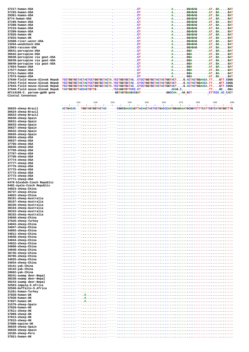| 37217-human-USA                |                                                                                                                                                                                                                                | – OT       |            | -------- <b>AGGAGAG</b> - |     | $---A$ $T$ . $GA$ $GAT$                               |
|--------------------------------|--------------------------------------------------------------------------------------------------------------------------------------------------------------------------------------------------------------------------------|------------|------------|---------------------------|-----|-------------------------------------------------------|
| 37193-human-USA                |                                                                                                                                                                                                                                |            |            |                           |     |                                                       |
| 29361-human-USA                | The contract of the contract of the contract of the contract of the contract of the contract of the contract of the contract of the contract of the contract of the contract of the contract of the contract of the contract o |            |            |                           |     |                                                       |
| 8774-human-USA                 |                                                                                                                                                                                                                                |            |            |                           |     | $---A$ $AT$ $.$ $GA$ $.$ $$ $GAT$                     |
| 37196-human-USA                |                                                                                                                                                                                                                                |            |            |                           |     |                                                       |
| 37208-human-USA                |                                                                                                                                                                                                                                |            |            |                           |     | $----P$ . $AT - .GA -  GAT$                           |
| 37216-human-USA                |                                                                                                                                                                                                                                |            |            |                           |     |                                                       |
|                                |                                                                                                                                                                                                                                |            |            |                           |     |                                                       |
| 37209-human-USA                |                                                                                                                                                                                                                                |            |            |                           |     |                                                       |
| 37826-human-UK                 |                                                                                                                                                                                                                                |            |            |                           |     |                                                       |
| 37833-human-UK                 |                                                                                                                                                                                                                                |            |            |                           |     |                                                       |
| 22508-river-water-USA          |                                                                                                                                                                                                                                |            |            |                           |     |                                                       |
| 13264-woodchuck-USA            |                                                                                                                                                                                                                                |            |            |                           |     |                                                       |
| 12963-raccoon-USA              |                                                                                                                                                                                                                                |            |            |                           |     |                                                       |
| 36641-porcupine-USA            |                                                                                                                                                                                                                                |            |            |                           |     |                                                       |
| 36642-porcupine-USA            |                                                                                                                                                                                                                                |            |            | $AGGA-$                   |     | $-.AT.$ . $GA.$ $GAT$                                 |
| 36638-porcupine via goat-USA   |                                                                                                                                                                                                                                |            |            |                           |     |                                                       |
| 36639-porcupine via goat-USA   |                                                                                                                                                                                                                                |            |            |                           |     |                                                       |
|                                |                                                                                                                                                                                                                                |            |            |                           |     |                                                       |
| 36640-porcupine via goat-USA   |                                                                                                                                                                                                                                |            |            |                           |     |                                                       |
| 17654-human-USA                |                                                                                                                                                                                                                                |            |            |                           |     |                                                       |
| 17577-human-USA                |                                                                                                                                                                                                                                |            |            |                           |     |                                                       |
| 37211-human-USA                |                                                                                                                                                                                                                                |            |            |                           |     |                                                       |
| 17574-human-USA                |                                                                                                                                                                                                                                | $- CT---$  |            |                           |     | $-A\ldots\ldots\ldots$ GGA---------. $AT\ldots$ GAGAT |
| 37640-field mouse-Slovak Repub | TCCTGGTGCTACTACTCCTGGTGCTACTA.TCCTGGTGCTACCTCCTGGTGCTACTACTGGTACTG.ACTACTGGAACA.TTGTT.CGGG                                                                                                                                     |            |            |                           |     |                                                       |
| 37642-field mouse-Slovak Repub | TCCTGGTGCTACTACTCCTGGTGCTACTA.TCCTGGTGCTACCTCCTGGTGCTACTACTGGTACTG.ACTACTGGAACA.TTGTT.CGGG                                                                                                                                     |            |            |                           |     |                                                       |
| 37644-field mouse-Slovak Repub | TCCTGGTGCTACTACTCCTGGTGCTACTA.TCCTGGTGCTACCTCCTGGTGCTACTACTGGTACTG.ACTACTGGAACA.TTGTT.CGGG                                                                                                                                     |            |            |                           |     |                                                       |
| 37646-field mouse-Slovak Repub | TACTGGTGTTACCACTGTTG---------.TCCAGGTGTTCCC.CT-----------------ACAG.C----------.TTGCGGA                                                                                                                                        |            |            |                           |     |                                                       |
| AF114166-C. parvum-gp60 gene   |                                                                                                                                                                                                                                |            |            |                           |     |                                                       |
| Clustal Consensus              |                                                                                                                                                                                                                                |            |            |                           |     |                                                       |
|                                |                                                                                                                                                                                                                                |            |            |                           |     |                                                       |
|                                |                                                                                                                                                                                                                                |            |            |                           |     |                                                       |
|                                | 510<br>520                                                                                                                                                                                                                     | 530<br>540 | 550<br>560 | 570                       | 580 | 590<br>600                                            |
|                                |                                                                                                                                                                                                                                |            |            |                           |     |                                                       |
| 36625-sheep-Brazil             | ACTGACAC---TGGTAGTGGTACTAC------CGGCGAAACAGTTACAACTACTCCTGACCCAATGGAGAAATGCGGTCTTTCATTCGTCATGTGGTTTG                                                                                                                           |            |            |                           |     |                                                       |
| 36624-sheep-Brazil             |                                                                                                                                                                                                                                |            |            |                           |     |                                                       |
| 36623-sheep-Brazil             |                                                                                                                                                                                                                                |            |            |                           |     |                                                       |
| 36630-sheep-Spain              |                                                                                                                                                                                                                                |            |            |                           |     |                                                       |
| 36631-sheep-Spain              |                                                                                                                                                                                                                                |            |            |                           |     |                                                       |
| 36633-sheep-Spain              |                                                                                                                                                                                                                                |            |            |                           |     |                                                       |
| 36627-sheep-Spain              |                                                                                                                                                                                                                                |            |            |                           |     |                                                       |
|                                |                                                                                                                                                                                                                                |            |            |                           |     |                                                       |
| 36632-sheep-Spain              |                                                                                                                                                                                                                                |            |            |                           |     |                                                       |
| 36626-sheep-Spain              |                                                                                                                                                                                                                                |            |            |                           |     |                                                       |
| 36634-sheep-USA                |                                                                                                                                                                                                                                |            |            |                           |     |                                                       |
| 36637-sheep-USA                |                                                                                                                                                                                                                                |            |            |                           |     |                                                       |
| 37766-sheep-USA                |                                                                                                                                                                                                                                |            |            |                           |     |                                                       |
| 36636-sheep-USA                |                                                                                                                                                                                                                                |            |            |                           |     |                                                       |
| 37769-sheep-USA                |                                                                                                                                                                                                                                |            |            |                           |     |                                                       |
| 37767-sheep-USA                |                                                                                                                                                                                                                                |            |            |                           |     |                                                       |
| 37768-sheep-USA                |                                                                                                                                                                                                                                |            |            |                           |     |                                                       |
| 37774-sheep-USA                |                                                                                                                                                                                                                                |            |            |                           |     |                                                       |
|                                |                                                                                                                                                                                                                                |            |            |                           |     |                                                       |
| 37777-sheep-USA                |                                                                                                                                                                                                                                |            |            |                           |     |                                                       |
| 37776-sheep-USA                |                                                                                                                                                                                                                                |            |            |                           |     |                                                       |
| 37775-sheep-USA                |                                                                                                                                                                                                                                |            |            |                           |     |                                                       |
| 37772-sheep-USA                |                                                                                                                                                                                                                                |            |            |                           |     |                                                       |
| 37773-sheep-USA                |                                                                                                                                                                                                                                |            |            |                           |     |                                                       |
| 37771-sheep-USA                |                                                                                                                                                                                                                                |            |            |                           |     |                                                       |
| 6478-blesbok-Czech Republic    |                                                                                                                                                                                                                                |            |            |                           |     |                                                       |
| 6482-nyala-Czech Republic      |                                                                                                                                                                                                                                |            |            |                           |     |                                                       |
| 34023-sheep-China              |                                                                                                                                                                                                                                |            |            |                           |     |                                                       |
| 36737-sheep-China              | $-1.1.1.1.1.1.1.1.1.1.1.1$                                                                                                                                                                                                     |            |            |                           |     |                                                       |
|                                |                                                                                                                                                                                                                                |            |            |                           |     |                                                       |
| 34022-sheep-China              |                                                                                                                                                                                                                                |            |            |                           |     |                                                       |
| 38161-sheep-Australia          |                                                                                                                                                                                                                                |            |            |                           |     |                                                       |
| 38157-sheep-Australia          |                                                                                                                                                                                                                                |            |            |                           |     |                                                       |
| 38156-sheep-Australia          |                                                                                                                                                                                                                                |            |            |                           |     |                                                       |
| 38154-sheep-Australia          |                                                                                                                                                                                                                                |            |            |                           |     |                                                       |
| 38153-sheep-Australia          |                                                                                                                                                                                                                                |            |            |                           |     |                                                       |
| 38152-sheep-Australia          |                                                                                                                                                                                                                                |            |            |                           |     |                                                       |
| 34049-sheep-China              |                                                                                                                                                                                                                                |            |            |                           |     |                                                       |
| 37635-sheep-Turkey             |                                                                                                                                                                                                                                |            |            |                           |     |                                                       |
| 34043-sheep-China              |                                                                                                                                                                                                                                |            |            |                           |     |                                                       |
| 34047-sheep-China              |                                                                                                                                                                                                                                |            |            |                           |     |                                                       |
| 34055-sheep-China              |                                                                                                                                                                                                                                |            |            |                           |     |                                                       |
|                                |                                                                                                                                                                                                                                |            |            |                           |     |                                                       |
| 34011-sheep-China              |                                                                                                                                                                                                                                |            |            |                           |     |                                                       |
| 34038-sheep-China              |                                                                                                                                                                                                                                |            |            |                           |     |                                                       |
| 34044-sheep-China              |                                                                                                                                                                                                                                |            |            |                           |     |                                                       |
| 34032-sheep-China              |                                                                                                                                                                                                                                |            |            |                           |     |                                                       |
| 34060-sheep-China              |                                                                                                                                                                                                                                |            |            |                           |     |                                                       |
| 34048-sheep-China              |                                                                                                                                                                                                                                |            |            |                           |     |                                                       |
| 36745-sheep-China              |                                                                                                                                                                                                                                |            |            |                           |     |                                                       |
| 36785-sheep-China              |                                                                                                                                                                                                                                |            |            |                           |     |                                                       |
| 34025-sheep-China              |                                                                                                                                                                                                                                |            |            |                           |     |                                                       |
| 34034-sheep-China              |                                                                                                                                                                                                                                |            |            |                           |     |                                                       |
| 19141-yak-China                |                                                                                                                                                                                                                                |            |            |                           |     |                                                       |
| 19142-yak-China                |                                                                                                                                                                                                                                |            |            |                           |     |                                                       |
| 28682-yak-China                |                                                                                                                                                                                                                                |            |            |                           |     |                                                       |
|                                |                                                                                                                                                                                                                                |            |            |                           |     |                                                       |
| 30241-swamp deer-Nepal         |                                                                                                                                                                                                                                |            |            |                           |     |                                                       |
| 30238-swamp deer-Nepal         |                                                                                                                                                                                                                                |            |            |                           |     |                                                       |
| 30243-swamp deer-Nepal         |                                                                                                                                                                                                                                |            |            |                           |     |                                                       |
| 32563-impala-S.Africa          |                                                                                                                                                                                                                                |            |            |                           |     |                                                       |
| 32560-buffallo-S.Africa        |                                                                                                                                                                                                                                |            |            |                           |     |                                                       |
| 31261-human-Turkey             |                                                                                                                                                                                                                                |            |            |                           |     |                                                       |
| 37828-human-UK                 |                                                                                                                                                                                                                                |            |            |                           |     |                                                       |
| 37830-human-UK                 |                                                                                                                                                                                                                                |            |            |                           |     |                                                       |
| 37827-human-UK                 |                                                                                                                                                                                                                                |            |            |                           |     |                                                       |
| 31570-sheep-Spain              |                                                                                                                                                                                                                                |            |            |                           |     |                                                       |
| 37820-human-UK                 |                                                                                                                                                                                                                                |            |            |                           |     |                                                       |
| 37811-sheep-UK                 |                                                                                                                                                                                                                                |            |            |                           |     |                                                       |
|                                |                                                                                                                                                                                                                                |            |            |                           |     |                                                       |
| 37809-sheep-UK                 |                                                                                                                                                                                                                                |            |            |                           |     |                                                       |
| 37813-sheep-UK                 |                                                                                                                                                                                                                                |            |            |                           |     |                                                       |
| 37815-sheep-UK                 |                                                                                                                                                                                                                                |            |            |                           |     |                                                       |
| 37808-equine-UK                |                                                                                                                                                                                                                                |            |            |                           |     |                                                       |
| 36629-sheep-Spain              |                                                                                                                                                                                                                                |            |            |                           |     |                                                       |
| 36628-sheep-Spain              |                                                                                                                                                                                                                                |            |            |                           |     |                                                       |
| 18165-sheep-Peru               |                                                                                                                                                                                                                                |            |            |                           |     |                                                       |
| 37821-human-UK                 |                                                                                                                                                                                                                                |            |            |                           |     |                                                       |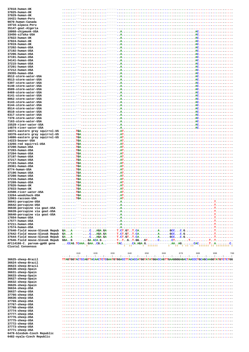| 37818-human-UK                             |                                                                                       |
|--------------------------------------------|---------------------------------------------------------------------------------------|
| 37825-human-UK                             |                                                                                       |
| 37829-human-UK                             |                                                                                       |
| 16421-human-Peru                           |                                                                                       |
| 9870-human-Canada                          |                                                                                       |
| 19716-alpaca-Peru                          |                                                                                       |
| 35147-goat-Algeria                         |                                                                                       |
| 18868-chipmunk-USA                         |                                                                                       |
| 33456-sifaka-USA                           |                                                                                       |
| 37822-human-UK                             |                                                                                       |
| 37824-human-UK                             |                                                                                       |
| 37819-human-UK                             | . --- <b>.</b> --                                                                     |
| 37202-human-USA                            |                                                                                       |
| 37192-human-USA                            |                                                                                       |
| 37206-human-USA                            |                                                                                       |
| 37191-human-USA<br>34141-human-USA         |                                                                                       |
| 37215-human-USA                            |                                                                                       |
| 37201-human-USA                            |                                                                                       |
| 37212-human-USA                            |                                                                                       |
| 29355-human-USA                            |                                                                                       |
| 8512-storm-water-USA                       |                                                                                       |
| 8513-storm-water-USA                       |                                                                                       |
| 5397-storm-water-USA                       |                                                                                       |
| 6140-storm-water-USA                       |                                                                                       |
| 8509-storm-water-USA                       |                                                                                       |
| 8469-storm-water-USA                       |                                                                                       |
| 6141-storm-water-USA                       |                                                                                       |
| 8062-storm-water-USA                       |                                                                                       |
| 6143-storm-water-USA                       |                                                                                       |
| 6144-storm-water-USA                       |                                                                                       |
| 8514-storm-water-USA                       |                                                                                       |
| 8510-storm-water-USA                       |                                                                                       |
| 6317-storm-water-USA                       |                                                                                       |
| 7370-storm-water-USA                       |                                                                                       |
| 7163-storm-water-USA                       |                                                                                       |
| 15529-river-water-USA                      |                                                                                       |
| 14874-river-water-USA                      |                                                                                       |
| 18371-eastern gray squirrel-US             |                                                                                       |
| 18370-eastern gray squirrel-US             |                                                                                       |
| 14886-eastern gray squirrel-US             |                                                                                       |
| 14223-beaver-USA<br>13266-red squirrel-USA |                                                                                       |
| 37200-human-USA                            |                                                                                       |
| 37203-human-USA                            |                                                                                       |
| 37204-human-USA                            | . TGA. - - -                                                                          |
| 37197-human-USA                            |                                                                                       |
| 37217-human-USA                            |                                                                                       |
| 37193-human-USA                            |                                                                                       |
| 29361-human-USA                            |                                                                                       |
| 8774-human-USA                             |                                                                                       |
| 37196-human-USA                            |                                                                                       |
| 37208-human-USA                            |                                                                                       |
| 37216-human-USA                            |                                                                                       |
| $37209 - huma n - IISA$                    |                                                                                       |
| 37826-human-UK                             |                                                                                       |
| 37833-human-UK                             |                                                                                       |
| 22508-river-water-USA                      |                                                                                       |
| 13264-woodchuck-USA                        |                                                                                       |
| 12963-raccoon-USA<br>36641-porcupine-USA   |                                                                                       |
| 36642-porcupine-USA                        |                                                                                       |
| 36638-porcupine via goat-USA               |                                                                                       |
| 36639-porcupine via goat-USA               |                                                                                       |
| 36640-porcupine via goat-USA               |                                                                                       |
| 17654-human-USA                            |                                                                                       |
| 17577-human-USA                            |                                                                                       |
| 37211-human-USA                            |                                                                                       |
| 17574-human-USA                            |                                                                                       |
| 37640-field mouse-Slovak Repub             |                                                                                       |
| 37642-field mouse-Slovak Repub             |                                                                                       |
| 37644-field mouse-Slovak Repub             |                                                                                       |
| 37646-field mouse-Slovak Repub             |                                                                                       |
| AF114166-C. parvum-gp60 gene               |                                                                                       |
|                                            | * ******<br>$*$ **<br>$\star$ .<br><b>Sales School School</b><br>****** ** ******** * |
| Clustal Consensus                          |                                                                                       |

|                             | 610 | 620 | 630 | 640 | 650 | 660 | 670 | 680 | 690<br>700                                                                                                     |
|-----------------------------|-----|-----|-----|-----|-----|-----|-----|-----|----------------------------------------------------------------------------------------------------------------|
|                             |     |     |     |     |     |     |     |     | المتما المتما المتما المتما المتما المتما المتما لمتما المتما المتما المتما المتما المتما المتما المتما المتما |
| 36625-sheep-Brazil          |     |     |     |     |     |     |     |     | TTAGTGGTACTCCAGTTACAACTCTCGAATGTGGACCTTACACCATGGTATATGGACCAGTTGAAGGGGAGACTAACCCTGCAGCAAGGTATGTCTCTGG           |
| 36624-sheep-Brazil          |     |     |     |     |     |     |     |     |                                                                                                                |
| 36623-sheep-Brazil          |     |     |     |     |     |     |     |     |                                                                                                                |
| 36630-sheep-Spain           |     |     |     |     |     |     |     |     |                                                                                                                |
| 36631-sheep-Spain           |     |     |     |     |     |     |     |     |                                                                                                                |
| 36633-sheep-Spain           |     |     |     |     |     |     |     |     |                                                                                                                |
| 36627-sheep-Spain           |     |     |     |     |     |     |     |     |                                                                                                                |
| 36632-sheep-Spain           |     |     |     |     |     |     |     |     |                                                                                                                |
| 36626-sheep-Spain           |     |     |     |     |     |     |     |     |                                                                                                                |
| 36634-sheep-USA             |     |     |     |     |     |     |     |     |                                                                                                                |
| 36637-sheep-USA             |     |     |     |     |     |     |     |     |                                                                                                                |
| 37766-sheep-USA             |     |     |     |     |     |     |     |     |                                                                                                                |
| 36636-sheep-USA             |     |     |     |     |     |     |     |     |                                                                                                                |
| 37769-sheep-USA             |     |     |     |     |     |     |     |     |                                                                                                                |
| 37767-sheep-USA             |     |     |     |     |     |     |     |     |                                                                                                                |
| 37768-sheep-USA             |     |     |     |     |     |     |     |     |                                                                                                                |
| 37774-sheep-USA             |     |     |     |     |     |     |     |     |                                                                                                                |
| 37777-sheep-USA             |     |     |     |     |     |     |     |     |                                                                                                                |
| 37776-sheep-USA             |     |     |     |     |     |     |     |     |                                                                                                                |
| 37775-sheep-USA             |     |     |     |     |     |     |     |     |                                                                                                                |
| 37772-sheep-USA             |     |     |     |     |     |     |     |     |                                                                                                                |
| 37773-sheep-USA             |     |     |     |     |     |     |     |     |                                                                                                                |
| 37771-sheep-USA             |     |     |     |     |     |     |     |     |                                                                                                                |
| 6478-blesbok-Czech Republic |     |     |     |     |     |     |     |     |                                                                                                                |
| 6482-nyala-Czech Republic   |     |     |     |     |     |     |     |     |                                                                                                                |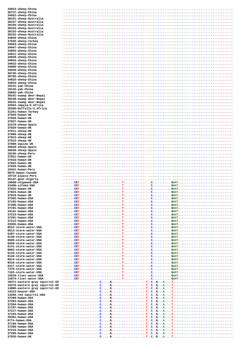| 34023-sheep-China                 |            |
|-----------------------------------|------------|
|                                   |            |
| 36737-sheep-China                 |            |
| 34022-sheep-China                 |            |
| 38161-sheep-Australia             |            |
| 38157-sheep-Australia             |            |
| 38156-sheep-Australia             |            |
|                                   |            |
| 38154-sheep-Australia             |            |
| 38153-sheep-Australia             |            |
| 38152-sheep-Australia             |            |
| 34049-sheep-China                 |            |
| 37635-sheep-Turkey                |            |
|                                   |            |
| 34043-sheep-China                 |            |
| 34047-sheep-China                 |            |
| 34055-sheep-China                 |            |
| 34011-sheep-China                 |            |
| 34038-sheep-China                 |            |
| 34044-sheep-China                 |            |
|                                   |            |
| 34032-sheep-China                 |            |
| 34060-sheep-China                 |            |
| 34048-sheep-China                 |            |
| 36745-sheep-China                 |            |
| 36785-sheep-China                 |            |
|                                   |            |
| 34025-sheep-China                 |            |
| 34034-sheep-China                 |            |
| 19141-yak-China                   |            |
| 19142-yak-China                   |            |
| 28682-yak-China                   |            |
|                                   |            |
| 30241-swamp deer-Nepal            |            |
| 30238-swamp deer-Nepal            |            |
| 30243-swamp deer-Nepal            |            |
| 32563-impala-S.Africa             |            |
| 32560-buffallo-S.Africa           |            |
| 31261-human-Turkey                |            |
|                                   |            |
| 37828-human-UK                    |            |
| 37830-human-UK                    |            |
| 37827-human-UK                    |            |
| 31570-sheep-Spain                 |            |
|                                   |            |
| 37820-human-UK                    |            |
| 37811-sheep-UK                    |            |
| 37809-sheep-UK                    |            |
| 37813-sheep-UK                    |            |
| 37815-sheep-UK                    |            |
|                                   |            |
| 37808-equine-UK                   |            |
| 36629-sheep-Spain                 |            |
| 36628-sheep-Spain                 |            |
| 18165-sheep-Peru                  |            |
| 37821-human-UK                    |            |
| 37818-human-UK                    |            |
|                                   |            |
| 37825-human-UK                    |            |
| 37829-human-UK                    |            |
| 16421-human-Peru                  |            |
| 9870-human-Canada                 |            |
| 19716-alpaca-Peru                 |            |
|                                   |            |
|                                   |            |
| 35147-goat-Algeria                |            |
| 18868-chipmunk-USA                |            |
| 33456-sifaka-USA                  |            |
| 37822-human-UK                    |            |
|                                   |            |
| 37824-human-UK                    |            |
| 37819-human-UK                    | <b>CGT</b> |
| 37202-human-USA                   |            |
| 37192-human-USA                   |            |
| 37206-human-USA                   |            |
|                                   |            |
| 37191-human-USA                   |            |
| 34141-human-USA                   |            |
| 37215-human-USA                   |            |
| 37201-human-USA                   |            |
| 37212-human-USA                   |            |
| 29355-human-USA                   |            |
|                                   |            |
| 8512-storm-water-USA              |            |
| 8513-storm-water-USA              |            |
| 5397-storm-water-USA              |            |
| 6140-storm-water-USA              |            |
| 8509-storm-water-USA              |            |
| 8469-storm-water-USA              |            |
| 6141-storm-water-USA              |            |
|                                   |            |
| 8062-storm-water-USA              |            |
| 6143-storm-water-USA              |            |
| 6144-storm-water-USA              |            |
| 8514-storm-water-USA              |            |
| 8510-storm-water-USA              |            |
| 6317-storm-water-USA              |            |
|                                   |            |
| 7370-storm-water-USA              |            |
| 7163-storm-water-USA              |            |
| 15529-river-water-USA             |            |
| 14874-river-water-USA             |            |
| 18371-eastern gray squirrel-US    |            |
| 18370-eastern gray squirrel-US    |            |
|                                   |            |
| 14886-eastern gray squirrel-US    |            |
| 14223-beaver-USA                  |            |
| 13266-red squirrel-USA            |            |
| 37200-human-USA                   |            |
| 37203-human-USA                   |            |
|                                   |            |
| 37204-human-USA                   |            |
| 37197-human-USA                   |            |
| 37217-human-USA                   |            |
| 37193-human-USA                   |            |
| 29361-human-USA                   |            |
| 8774-human-USA                    |            |
| 37196-human-USA                   |            |
|                                   |            |
| 37208-human-USA                   |            |
| 37216-human-USA                   |            |
| 37209-human-USA<br>37826-human-UK |            |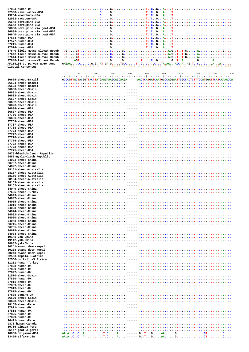| 37833-human-UK                         |                                                                                                                                                                          |
|----------------------------------------|--------------------------------------------------------------------------------------------------------------------------------------------------------------------------|
| 22508-river-water-USA                  |                                                                                                                                                                          |
| 13264-woodchuck-USA                    |                                                                                                                                                                          |
| 12963-raccoon-USA                      |                                                                                                                                                                          |
| 36641-porcupine-USA                    |                                                                                                                                                                          |
| 36642-porcupine-USA                    |                                                                                                                                                                          |
| 36638-porcupine via goat-USA           |                                                                                                                                                                          |
| 36639-porcupine via goat-USA           |                                                                                                                                                                          |
| 36640-porcupine via goat-USA           |                                                                                                                                                                          |
| 17654-human-USA                        |                                                                                                                                                                          |
| 17577-human-USA                        |                                                                                                                                                                          |
| 37211-human-USA                        |                                                                                                                                                                          |
| 17574-human-USA                        |                                                                                                                                                                          |
| 37640-field mouse-Slovak Repub         |                                                                                                                                                                          |
| 37642-field mouse-Slovak Repub         |                                                                                                                                                                          |
| 37644-field mouse-Slovak Repub         | $G. \ldots.$ $G. \ldots.$ $G. \ldots.$ $G. \ldots.$ $G. \ldots.$ $G. \ldots.$ $G. \ldots.$ $G. \ldots.$ $A. \ldots.$ $A. \ldots.$ $A. \ldots.$ $G. \ldots.$ $G. \ldots.$ |
| 37646-field mouse-Slovak Repub         |                                                                                                                                                                          |
| AF114166-C. parvum-gp60 gene           | $GAGAA$ CC.G.GAT.GA.GTG.CTCCCTA.AAACC.AAG.TCCAA                                                                                                                          |
| Clustal Consensus                      | <b>SASA STATISTICS</b><br>a la alalala la alalala ala ala ala a<br><b>Contract State</b><br>$\rightarrow$<br>$4 - 4$<br>a as ass esse see as a sees                      |
|                                        | 730<br>740<br>750<br>770<br>780<br>790<br>710<br>720<br>760<br>800                                                                                                       |
| 36625-sheep-Brazil                     | GCCCGTTACTACGGTTACTTATGAAGAAAGCAGCAAGA ----- AACTCATGATCAATGGCCAGGAATTCGCCACTCTTTCCATGGATTCATCAAAACCA                                                                    |
| 36624-sheep-Brazil                     |                                                                                                                                                                          |
| 36623-sheep-Brazil                     |                                                                                                                                                                          |
| 36630-sheep-Spain                      |                                                                                                                                                                          |
| 36631-sheep-Spain                      |                                                                                                                                                                          |
| 36633-sheep-Spain                      |                                                                                                                                                                          |
| 36627-sheep-Spain                      |                                                                                                                                                                          |
| 36632-sheep-Spain                      |                                                                                                                                                                          |
| 36626-sheep-Spain                      |                                                                                                                                                                          |
| 36634-sheep-USA                        |                                                                                                                                                                          |
| 36637-sheep-USA                        |                                                                                                                                                                          |
| 37766-sheep-USA                        |                                                                                                                                                                          |
| 36636-sheep-USA                        |                                                                                                                                                                          |
| 37769-sheep-USA                        |                                                                                                                                                                          |
| 37767-sheep-USA                        |                                                                                                                                                                          |
| 37768-sheep-USA                        |                                                                                                                                                                          |
| 37774-sheep-USA                        |                                                                                                                                                                          |
| 37777-sheep-USA                        |                                                                                                                                                                          |
| 37776-sheep-USA<br>37775-sheep-USA     |                                                                                                                                                                          |
| 37772-sheep-USA                        |                                                                                                                                                                          |
| 37773-sheep-USA                        |                                                                                                                                                                          |
| 37771-sheep-USA                        |                                                                                                                                                                          |
| 6478-blesbok-Czech Republic            |                                                                                                                                                                          |
| 6482-nyala-Czech Republic              |                                                                                                                                                                          |
| 34023-sheep-China                      |                                                                                                                                                                          |
| 36737-sheep-China                      |                                                                                                                                                                          |
| 34022-sheep-China                      |                                                                                                                                                                          |
| 38161-sheep-Australia                  |                                                                                                                                                                          |
| 38157-sheep-Australia                  |                                                                                                                                                                          |
| 38156-sheep-Australia                  |                                                                                                                                                                          |
| 38154-sheep-Australia                  |                                                                                                                                                                          |
| 38153-sheep-Australia                  |                                                                                                                                                                          |
| 38152-sheep-Australia                  |                                                                                                                                                                          |
| 34049-sheep-China                      |                                                                                                                                                                          |
| 37635-sheep-Turkey                     |                                                                                                                                                                          |
| 34043-sheep-China<br>34047-sheep-China |                                                                                                                                                                          |
| 34055-sheep-China                      |                                                                                                                                                                          |
| 34011-sheep-China                      |                                                                                                                                                                          |
| 34038-sheep-China                      |                                                                                                                                                                          |
| 34044-sheep-China                      |                                                                                                                                                                          |
| 34032-sheep-China                      |                                                                                                                                                                          |
| 34060-sheep-China                      |                                                                                                                                                                          |
| 34048-sheep-China                      |                                                                                                                                                                          |
| 36745-sheep-China                      |                                                                                                                                                                          |
| 36785-sheep-China                      |                                                                                                                                                                          |
| 34025-sheep-China                      |                                                                                                                                                                          |
| 34034-sheep-China                      |                                                                                                                                                                          |
| 19141-yak-China                        |                                                                                                                                                                          |
| 19142-yak-China                        |                                                                                                                                                                          |
| 28682-yak-China                        |                                                                                                                                                                          |
| 30241-swamp deer-Nepal                 |                                                                                                                                                                          |
| 30238-swamp deer-Nepal                 |                                                                                                                                                                          |
| 30243-swamp deer-Nepal                 |                                                                                                                                                                          |
| 32563-impala-S.Africa                  |                                                                                                                                                                          |
| 32560-buffallo-S.Africa                |                                                                                                                                                                          |
| 31261-human-Turkey                     |                                                                                                                                                                          |
| 37828-human-UK                         |                                                                                                                                                                          |
| 37830-human-UK                         |                                                                                                                                                                          |
| 37827-human-UK                         |                                                                                                                                                                          |
| 31570-sheep-Spain                      |                                                                                                                                                                          |
| 37820-human-UK                         |                                                                                                                                                                          |
| 37811-sheep-UK                         |                                                                                                                                                                          |
| 37809-sheep-UK                         |                                                                                                                                                                          |
| 37813-sheep-UK                         |                                                                                                                                                                          |
| 37815-sheep-UK                         |                                                                                                                                                                          |
| 37808-equine-UK                        |                                                                                                                                                                          |
| 36629-sheep-Spain                      |                                                                                                                                                                          |
| 36628-sheep-Spain                      |                                                                                                                                                                          |
| 18165-sheep-Peru                       |                                                                                                                                                                          |
| 37821-human-UK                         |                                                                                                                                                                          |
| 37818-human-UK                         |                                                                                                                                                                          |
| 37825-human-UK                         |                                                                                                                                                                          |
| 37829-human-UK                         |                                                                                                                                                                          |
| 16421-human-Peru                       |                                                                                                                                                                          |
| 9870-human-Canada                      |                                                                                                                                                                          |
| 19716-alpaca-Peru                      |                                                                                                                                                                          |
| 35147-goat-Algeria                     |                                                                                                                                                                          |
| 18868-chipmunk-USA                     |                                                                                                                                                                          |
| 33456-sifaka-USA                       |                                                                                                                                                                          |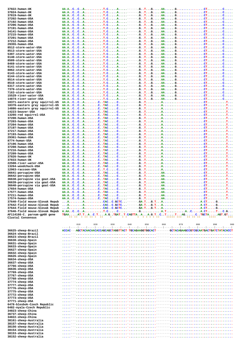37822-human-UK 37824-human-UK 37819-human-UK 37202-human-USA  $37192 - huma n - IISA$ 37206-human-USA 37191-human-USA  $34141 - \text{human-IFSA}$  $37215 - huma n - IISA$ 37201-human-USA 37212-human-USA 29355-human-USA 8512-storm-water-USA 8513-storm-water-USA 5397-storm-water-USA 6140-storm-water-USA 8509-storm-water-USA 8469-storm-water-USA 6141-storm-water-USA 8062-storm-water-USA 6143-storm-water-USA 6144-storm-water-USA 8514-storm-water-USA 8510-storm-water-USA 6317-storm-water-USA 7370-storm-water-USA 7163-storm-water-USA  $15529 - r_1 \cdot r_2 \cdot - \text{water} - \text{HCA}$ 14874-river-water-USA 18371-eastern gray squirrel 18370-eastern gray squirrel 14886-eastern gray squirrel 14223-beaver-USA 13266-red squirrel-USA  $37200 - \text{human-IISA}$  $37203 - human-USA$ 37204-human-USA 37197-human-USA  $37217 - h$ uman-IISA 37193-human-USA 29361-human-USA 8774-human-USA  $37196 - huma n - IISA$ 37208-human-USA 37216-human-USA 37209-human-USA  $37826 - h<sub>l</sub>$  man-IIK 37833-human-UK 22508-river-water-USA 13264-woodchuck-USA 12963-raccoon-USA 36641-porcupine-USA 36642-porcupine-USA 36638-porcupine via goat-US 36639-porcupine via goat-US 36640-porcupine via goat-US  $17654 - human-USA$ 17577-human-USA 37211-human-USA 17574-human-USA 37640-field mouse-Slovak Re 37642-field mouse-Slovak Re 37644-field mouse-Slovak Re 37646-field mouse-Slovak Re AF114166-C. parvum-gp60 gen Clustal Consensus 36625-sheep-Brazil  $36624$ -sheep-Brazil 36623-sheep-Brazil 36630-sheep-Spain  $36631$ -sheep-Spain  $36633$ -sheep-Spain 36627-sheep-Spain 36632-sheep-Spain

36626-sheep-Spain 36634-sheep-USA 36637-sheep-USA 37766-sheep-USA 36636-sheep-USA 37769-sheep-USA 37767-sheep-USA 37768-sheep-USA 37774-sheep-USA 37777-sheep-USA 37776-sheep-USA 37775-sheep-USA 37772-sheep-USA 37773-sheep-USA 37771-sheep-USA  $6478 - b$ lesbok-Czech Republic 6482-nyala-Czech Republic 34023-sheep-China 36737-sheep-China  $34022$ -sheep-China 38161-sheep-Australia 38157-sheep-Australia 38156-sheep-Australia 38154-sheep-Australia 38153-sheep-Australia

38152-sheep-Australia

| .-us |                                                                                                     |                      |     |     |       |     |     |                                 |                            |     |      |    |
|------|-----------------------------------------------------------------------------------------------------|----------------------|-----|-----|-------|-----|-----|---------------------------------|----------------------------|-----|------|----|
| .-us |                                                                                                     |                      |     |     |       |     |     |                                 |                            |     |      |    |
| l-US |                                                                                                     |                      |     |     |       |     |     |                                 |                            |     |      |    |
|      |                                                                                                     |                      |     |     |       |     |     |                                 |                            |     |      |    |
|      |                                                                                                     |                      |     |     |       |     |     |                                 |                            |     |      |    |
|      |                                                                                                     |                      |     |     |       |     |     |                                 |                            |     |      |    |
|      |                                                                                                     |                      |     |     |       |     |     |                                 |                            |     |      |    |
|      |                                                                                                     |                      |     |     |       |     |     |                                 |                            |     |      |    |
|      |                                                                                                     |                      |     |     |       |     |     |                                 |                            |     |      |    |
|      |                                                                                                     |                      |     |     |       |     |     |                                 |                            |     |      |    |
|      |                                                                                                     |                      |     |     |       |     |     |                                 |                            |     |      |    |
|      |                                                                                                     |                      |     |     |       |     |     |                                 |                            |     |      |    |
|      |                                                                                                     |                      |     |     |       |     |     |                                 |                            |     |      |    |
|      |                                                                                                     |                      |     |     |       |     |     |                                 |                            |     |      |    |
|      |                                                                                                     |                      |     |     |       |     |     |                                 |                            |     |      |    |
|      |                                                                                                     |                      |     |     |       |     |     |                                 |                            |     |      |    |
|      |                                                                                                     |                      |     |     |       |     |     |                                 |                            |     |      |    |
|      |                                                                                                     |                      |     |     |       |     |     |                                 |                            |     |      |    |
|      |                                                                                                     |                      |     |     |       |     |     |                                 |                            |     |      |    |
|      |                                                                                                     |                      |     |     |       |     |     |                                 |                            |     |      |    |
|      |                                                                                                     |                      |     |     |       |     |     |                                 |                            |     |      |    |
|      |                                                                                                     |                      |     |     |       |     |     |                                 |                            |     |      |    |
|      |                                                                                                     |                      |     |     |       |     |     |                                 |                            |     |      |    |
|      | $AA, A, .C, .C, .A, C, . TAC, C, - . - . G, . T, A, T, T,$                                          |                      |     |     |       |     |     |                                 |                            |     |      |    |
| 3A   |                                                                                                     |                      |     |     |       |     |     |                                 |                            |     |      |    |
| ,Α   |                                                                                                     |                      |     |     |       |     |     |                                 |                            |     |      |    |
| ,A   |                                                                                                     |                      |     |     |       |     |     |                                 |                            |     |      |    |
|      |                                                                                                     |                      |     |     |       |     |     |                                 |                            |     |      |    |
|      |                                                                                                     |                      |     |     |       |     |     |                                 |                            |     |      |    |
|      | AA.ACCACTACC------GTAA                                                                              |                      |     |     |       |     |     |                                 | $\ldots \ldots \ldots$ CT. |     |      |    |
| pub! |                                                                                                     |                      |     |     |       |     |     |                                 |                            |     |      |    |
| pub  |                                                                                                     |                      |     |     |       |     |     |                                 |                            |     |      |    |
| pub! |                                                                                                     |                      |     |     |       |     |     |                                 |                            |     |      |    |
| pub  |                                                                                                     |                      |     |     |       |     |     |                                 |                            |     |      |    |
| ıe   | TGAAAT.TAC.TA.GTGATT.CAGTTAAA.G.TCTTAGCTGCTAAGT.GT                                                  |                      |     |     | $*$ * |     |     |                                 |                            |     | **** |    |
|      |                                                                                                     | ** ** * ** ** * ** * |     |     |       |     |     | * * * * * ** ***** *** ** ** ** |                            |     |      |    |
|      |                                                                                                     | 810                  | 820 | 830 | 840   | 850 | 860 | 870                             |                            | 880 | 890  | 90 |
|      |                                                                                                     |                      |     |     |       |     |     |                                 |                            |     |      |    |
|      | ACCAC---AGCTACAACAACACCAGCAGCTAGGTTACT-TGCAGAAGGTGGCACT-------GCTACAGAAGCCGTCGCAATGACTGATCTATACACCT |                      |     |     |       |     |     |                                 |                            |     |      |    |
|      |                                                                                                     |                      |     |     |       |     |     |                                 |                            |     |      |    |
|      |                                                                                                     |                      |     |     |       |     |     |                                 |                            |     |      |    |
|      |                                                                                                     |                      |     |     |       |     |     |                                 |                            |     |      |    |
|      |                                                                                                     |                      |     |     |       |     |     |                                 |                            |     |      |    |
|      |                                                                                                     |                      |     |     |       |     |     |                                 |                            |     |      |    |
|      |                                                                                                     |                      |     |     |       |     |     |                                 |                            |     |      |    |
|      |                                                                                                     |                      |     |     |       |     |     |                                 |                            |     |      |    |
|      |                                                                                                     |                      |     |     |       |     |     |                                 |                            |     |      |    |
|      |                                                                                                     |                      |     |     |       |     |     |                                 |                            |     |      |    |
|      |                                                                                                     |                      |     |     |       |     |     |                                 |                            |     |      |    |
|      |                                                                                                     |                      |     |     |       |     |     |                                 |                            |     |      |    |
|      |                                                                                                     |                      |     |     |       |     |     |                                 |                            |     |      |    |
|      |                                                                                                     |                      |     |     |       |     |     |                                 |                            |     |      |    |
|      |                                                                                                     |                      |     |     |       |     |     |                                 |                            |     |      |    |
|      |                                                                                                     |                      |     |     |       |     |     |                                 |                            |     |      |    |
|      |                                                                                                     |                      |     |     |       |     |     |                                 |                            |     |      |    |
|      |                                                                                                     |                      |     |     |       |     |     |                                 |                            |     |      |    |
|      |                                                                                                     |                      |     |     |       |     |     |                                 |                            |     |      |    |
|      |                                                                                                     |                      |     |     |       |     |     |                                 |                            |     |      |    |
|      |                                                                                                     |                      |     |     |       |     |     |                                 |                            |     |      |    |
|      |                                                                                                     |                      |     |     |       |     |     |                                 |                            |     |      |    |
|      |                                                                                                     |                      |     |     |       |     |     |                                 |                            |     |      |    |
|      |                                                                                                     |                      |     |     |       |     |     |                                 |                            |     |      |    |
|      |                                                                                                     |                      |     |     |       |     |     |                                 |                            |     |      |    |
|      |                                                                                                     |                      |     |     |       |     |     |                                 |                            |     |      |    |
|      |                                                                                                     |                      |     |     |       |     |     |                                 |                            |     |      |    |
|      |                                                                                                     |                      |     |     |       |     |     |                                 |                            |     |      |    |
|      |                                                                                                     |                      |     |     |       |     |     |                                 |                            |     |      |    |
|      |                                                                                                     |                      |     |     |       |     |     |                                 |                            |     |      |    |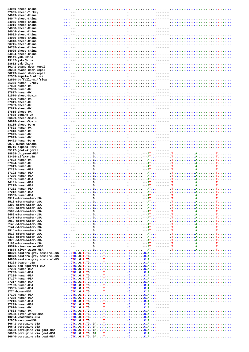| 34049-sheep-China                            |  |  |          |
|----------------------------------------------|--|--|----------|
| 37635-sheep-Turkey                           |  |  |          |
| 34043-sheep-China                            |  |  |          |
| 34047-sheep-China<br>34055-sheep-China       |  |  |          |
|                                              |  |  |          |
| 34011-sheep-China                            |  |  |          |
| 34038-sheep-China                            |  |  |          |
| 34044-sheep-China<br>34032-sheep-China       |  |  |          |
|                                              |  |  |          |
| 34060-sheep-China                            |  |  |          |
| 34048-sheep-China                            |  |  |          |
| 36745-sheep-China                            |  |  |          |
| 36785-sheep-China                            |  |  |          |
| 34025-sheep-China                            |  |  |          |
| 34034-sheep-China                            |  |  |          |
| 19141-yak-China                              |  |  |          |
| 19142-yak-China                              |  |  |          |
| 28682-yak-China                              |  |  |          |
| 30241-swamp deer-Nepal                       |  |  |          |
| 30238-swamp deer-Nepal                       |  |  |          |
| 30243-swamp deer-Nepal                       |  |  |          |
| 32563-impala-S.Africa                        |  |  |          |
| 32560-buffallo-S.Africa                      |  |  |          |
| 31261-human-Turkey                           |  |  |          |
| 37828-human-UK                               |  |  |          |
| 37830-human-UK                               |  |  |          |
| 37827-human-UK                               |  |  |          |
| 31570-sheep-Spain                            |  |  |          |
| 37820-human-UK                               |  |  |          |
| 37811-sheep-UK                               |  |  |          |
| 37809-sheep-UK                               |  |  |          |
| 37813-sheep-UK                               |  |  |          |
| 37815-sheep-UK                               |  |  |          |
| 37808-equine-UK                              |  |  |          |
| 36629-sheep-Spain                            |  |  |          |
| 36628-sheep-Spain                            |  |  |          |
| 18165-sheep-Peru<br>37821-human-UK           |  |  |          |
|                                              |  |  |          |
| 37818-human-UK                               |  |  |          |
| 37825-human-UK                               |  |  |          |
| 37829-human-UK                               |  |  |          |
| 16421-human-Peru<br>9870-human-Canada        |  |  |          |
| 19716-alpaca-Peru                            |  |  |          |
| 35147-goat-Algeria                           |  |  |          |
| 18868-chipmunk-USA                           |  |  |          |
| 33456-sifaka-USA                             |  |  |          |
| 37822-human-UK                               |  |  |          |
| 37824-human-UK                               |  |  |          |
| 37819-human-UK                               |  |  |          |
| 37202-human-USA                              |  |  |          |
| 37192-human-USA                              |  |  | T.       |
| 37206-human-USA                              |  |  |          |
| 37191-human-USA                              |  |  |          |
| 34141-human-USA                              |  |  |          |
| 37215-human-USA                              |  |  |          |
| 37201-human-USA                              |  |  |          |
| 37212-human-USA                              |  |  |          |
| 29355-human-USA                              |  |  | .а.<br>. |
| 8512-storm-water-USA                         |  |  |          |
| 8513-storm-water-USA                         |  |  |          |
| 5397-storm-water-USA                         |  |  |          |
| 6140-storm-water-USA                         |  |  |          |
| 8509-storm-water-USA                         |  |  |          |
| 8469-storm-water-USA                         |  |  |          |
| 6141-storm-water-USA                         |  |  |          |
| 8062-storm-water-USA                         |  |  |          |
| 6143-storm-water-USA                         |  |  |          |
| 6144-storm-water-USA                         |  |  |          |
| 8514-storm-water-USA                         |  |  |          |
| 8510-storm-water-USA                         |  |  |          |
| 6317-storm-water-USA                         |  |  |          |
| 7370-storm-water-USA<br>7163-storm-water-USA |  |  |          |
| 15529-river-water-USA                        |  |  |          |
| 14874-river-water-USA                        |  |  |          |
| 18371-eastern gray squirrel-US               |  |  |          |
| 18370-eastern gray squirrel-US               |  |  |          |
| 14886-eastern gray squirrel-US               |  |  |          |
| 14223-beaver-USA                             |  |  |          |
| 13266-red squirrel-USA                       |  |  |          |
| 37200-human-USA                              |  |  |          |
| 37203-human-USA                              |  |  |          |
| 37204-human-USA                              |  |  |          |
| 37197-human-USA                              |  |  |          |
| 37217-human-USA                              |  |  |          |
| 37193-human-USA                              |  |  |          |
| 29361-human-USA                              |  |  |          |
| 8774-human-USA                               |  |  |          |
| 37196-human-USA                              |  |  |          |
| 37208-human-USA                              |  |  |          |
| 37216-human-USA                              |  |  |          |
| 37209-human-USA                              |  |  |          |
| 37826-human-UK                               |  |  |          |
| 37833-human-UK                               |  |  |          |
| 22508-river-water-USA                        |  |  |          |
| 13264-woodchuck-USA                          |  |  |          |
| 12963-raccoon-USA                            |  |  |          |
| 36641-porcupine-USA                          |  |  |          |
| 36642-porcupine-USA                          |  |  |          |
| 36638-porcupine via goat-USA                 |  |  |          |
| 36639-porcupine via goat-USA                 |  |  |          |
| 36640-porcupine via goat-USA                 |  |  |          |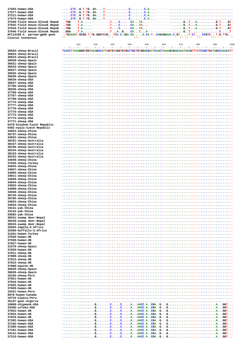| 17654-human-USA<br>17577-human-USA                               |                                                                                                                                                                            |
|------------------------------------------------------------------|----------------------------------------------------------------------------------------------------------------------------------------------------------------------------|
| 37211-human-USA                                                  |                                                                                                                                                                            |
| 17574-human-USA                                                  |                                                                                                                                                                            |
| 37640-field mouse-Slovak Repub                                   |                                                                                                                                                                            |
| 37642-field mouse-Slovak Repub                                   |                                                                                                                                                                            |
| 37644-field mouse-Slovak Repub<br>37646-field mouse-Slovak Repub | $-1.1AGCATA---22A---22GTCCCT$<br>$\ldots$ GGG--- $\ldots$ $\ldots$ $\ldots$ $\ldots$ $\ldots$ $\ldots$ $\ldots$ $\ldots$                                                   |
| AF114166-C. parvum-gp60 gene                                     | $\ldots$ TGAAAAT.GCGG.T.TG.GGGTCAGTCA.C.AGA.CAA.CA.TCAGAGGAAA.C.GTT.CTCCGTCT.G.TTG                                                                                         |
| Clustal Consensus                                                | ***<br>$******$ **<br>*** * *<br>**<br>$*$ *                                                                                                                               |
|                                                                  |                                                                                                                                                                            |
|                                                                  | 950<br>960<br>970<br>980<br>910<br>920<br>930<br>940<br>990<br>1000<br>[منتظر بنيط إنتيط بنيط منظر المتطر بنيط المتطر بنيط بمنظر بنيط بنيط بنيط بنيط بمنظر بنيط بنظر بمنظر |
| 36625-sheep-Brazil                                               | TCACCTTAAAGGGTGGTAAAGCCATTAGTGTAGGTGTGCCTGCTGCTGGACGATTCAACTAAAAGAGACAAATACAGTTTATCCGCTGATAGCCAAACATT                                                                      |
| 36624-sheep-Brazil                                               |                                                                                                                                                                            |
| 36623-sheep-Brazil                                               |                                                                                                                                                                            |
| 36630-sheep-Spain<br>36631-sheep-Spain                           |                                                                                                                                                                            |
| 36633-sheep-Spain                                                |                                                                                                                                                                            |
| 36627-sheep-Spain                                                |                                                                                                                                                                            |
| 36632-sheep-Spain                                                |                                                                                                                                                                            |
| 36626-sheep-Spain<br>36634-sheep-USA                             |                                                                                                                                                                            |
| 36637-sheep-USA                                                  |                                                                                                                                                                            |
| 37766-sheep-USA                                                  |                                                                                                                                                                            |
| 36636-sheep-USA                                                  |                                                                                                                                                                            |
| 37769-sheep-USA                                                  |                                                                                                                                                                            |
| 37767-sheep-USA<br>37768-sheep-USA                               |                                                                                                                                                                            |
| 37774-sheep-USA                                                  |                                                                                                                                                                            |
| 37777-sheep-USA                                                  |                                                                                                                                                                            |
| 37776-sheep-USA                                                  |                                                                                                                                                                            |
| 37775-sheep-USA                                                  |                                                                                                                                                                            |
| 37772-sheep-USA<br>37773-sheep-USA                               |                                                                                                                                                                            |
| 37771-sheep-USA                                                  |                                                                                                                                                                            |
| 6478-blesbok-Czech Republic                                      |                                                                                                                                                                            |
| 6482-nyala-Czech Republic                                        |                                                                                                                                                                            |
| 34023-sheep-China                                                |                                                                                                                                                                            |
| 36737-sheep-China<br>34022-sheep-China                           |                                                                                                                                                                            |
| 38161-sheep-Australia                                            |                                                                                                                                                                            |
| 38157-sheep-Australia                                            |                                                                                                                                                                            |
| 38156-sheep-Australia                                            |                                                                                                                                                                            |
| 38154-sheep-Australia                                            |                                                                                                                                                                            |
| 38153-sheep-Australia<br>38152-sheep-Australia                   |                                                                                                                                                                            |
| 34049-sheep-China                                                |                                                                                                                                                                            |
| 37635-sheep-Turkey                                               |                                                                                                                                                                            |
| 34043-sheep-China                                                |                                                                                                                                                                            |
| 34047-sheep-China<br>34055-sheep-China                           |                                                                                                                                                                            |
| 34011-sheep-China                                                |                                                                                                                                                                            |
| 34038-sheep-China                                                |                                                                                                                                                                            |
| 34044-sheep-China                                                |                                                                                                                                                                            |
| 34032-sheep-China                                                |                                                                                                                                                                            |
| 34060-sheep-China<br>34048-sheep-China                           |                                                                                                                                                                            |
| 36745-sheep-China                                                |                                                                                                                                                                            |
| 36785-sheep-China                                                |                                                                                                                                                                            |
| 34025-sheep-China                                                |                                                                                                                                                                            |
| 34034-sheep-China                                                |                                                                                                                                                                            |
| 19141-yak-China<br>19142-yak-China                               |                                                                                                                                                                            |
| 28682-yak-China                                                  |                                                                                                                                                                            |
| 30241-swamp deer-Nepal                                           |                                                                                                                                                                            |
| 30238-swamp deer-Nepal                                           |                                                                                                                                                                            |
| 30243-swamp deer-Nepal<br>32563-impala-S.Africa                  |                                                                                                                                                                            |
| 32560-buffallo-S.Africa                                          |                                                                                                                                                                            |
| 31261-human-Turkey                                               |                                                                                                                                                                            |
| 37828-human-UK                                                   |                                                                                                                                                                            |
| 37830-human-UK<br>37827-human-UK                                 |                                                                                                                                                                            |
| 31570-sheep-Spain                                                |                                                                                                                                                                            |
| 37820-human-UK                                                   |                                                                                                                                                                            |
| 37811-sheep-UK                                                   |                                                                                                                                                                            |
| 37809-sheep-UK                                                   |                                                                                                                                                                            |
| 37813-sheep-UK<br>37815-sheep-UK                                 |                                                                                                                                                                            |
| 37808-equine-UK                                                  |                                                                                                                                                                            |
| 36629-sheep-Spain                                                |                                                                                                                                                                            |
| 36628-sheep-Spain                                                |                                                                                                                                                                            |
| 18165-sheep-Peru                                                 |                                                                                                                                                                            |
| 37821-human-UK<br>37818-human-UK                                 |                                                                                                                                                                            |
| 37825-human-UK                                                   |                                                                                                                                                                            |
| 37829-human-UK                                                   |                                                                                                                                                                            |
| 16421-human-Peru                                                 |                                                                                                                                                                            |
| 9870-human-Canada                                                |                                                                                                                                                                            |
| 19716-alpaca-Peru<br>35147-goat-Algeria                          |                                                                                                                                                                            |
| 18868-chipmunk-USA                                               |                                                                                                                                                                            |
| 33456-sifaka-USA                                                 |                                                                                                                                                                            |
| 37822-human-UK                                                   |                                                                                                                                                                            |
| 37824-human-UK<br>37819-human-UK                                 |                                                                                                                                                                            |
| 37202-human-USA                                                  |                                                                                                                                                                            |
| 37192-human-USA                                                  |                                                                                                                                                                            |
| 37206-human-USA                                                  |                                                                                                                                                                            |
| 37191-human-USA                                                  |                                                                                                                                                                            |
| 34141-human-USA<br>37215-human-USA                               |                                                                                                                                                                            |
|                                                                  |                                                                                                                                                                            |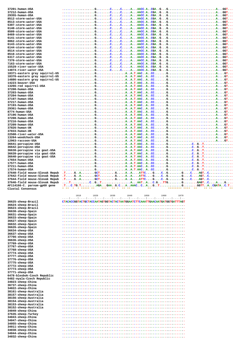| 37201-human-USA                |                                                                                                                                                                                                                                                                                                                                                                                                                                                      |
|--------------------------------|------------------------------------------------------------------------------------------------------------------------------------------------------------------------------------------------------------------------------------------------------------------------------------------------------------------------------------------------------------------------------------------------------------------------------------------------------|
| 37212-human-USA                |                                                                                                                                                                                                                                                                                                                                                                                                                                                      |
| 29355-human-USA                |                                                                                                                                                                                                                                                                                                                                                                                                                                                      |
| 8512-storm-water-USA           |                                                                                                                                                                                                                                                                                                                                                                                                                                                      |
| 8513-storm-water-USA           |                                                                                                                                                                                                                                                                                                                                                                                                                                                      |
| 5397-storm-water-USA           |                                                                                                                                                                                                                                                                                                                                                                                                                                                      |
| 6140-storm-water-USA           |                                                                                                                                                                                                                                                                                                                                                                                                                                                      |
| 8509-storm-water-USA           |                                                                                                                                                                                                                                                                                                                                                                                                                                                      |
| 8469-storm-water-USA           |                                                                                                                                                                                                                                                                                                                                                                                                                                                      |
|                                |                                                                                                                                                                                                                                                                                                                                                                                                                                                      |
| 6141-storm-water-USA           |                                                                                                                                                                                                                                                                                                                                                                                                                                                      |
| 8062-storm-water-USA           |                                                                                                                                                                                                                                                                                                                                                                                                                                                      |
| 6143-storm-water-USA           |                                                                                                                                                                                                                                                                                                                                                                                                                                                      |
| 6144-storm-water-USA           |                                                                                                                                                                                                                                                                                                                                                                                                                                                      |
| 8514-storm-water-USA           |                                                                                                                                                                                                                                                                                                                                                                                                                                                      |
| 8510-storm-water-USA           |                                                                                                                                                                                                                                                                                                                                                                                                                                                      |
| 6317-storm-water-USA           |                                                                                                                                                                                                                                                                                                                                                                                                                                                      |
| 7370-storm-water-USA           |                                                                                                                                                                                                                                                                                                                                                                                                                                                      |
| 7163-storm-water-USA           |                                                                                                                                                                                                                                                                                                                                                                                                                                                      |
| 15529-river-water-USA          |                                                                                                                                                                                                                                                                                                                                                                                                                                                      |
| 14874-river-water-USA          |                                                                                                                                                                                                                                                                                                                                                                                                                                                      |
| 18371-eastern gray squirrel-US |                                                                                                                                                                                                                                                                                                                                                                                                                                                      |
| 18370-eastern gray squirrel-US |                                                                                                                                                                                                                                                                                                                                                                                                                                                      |
| 14886-eastern gray squirrel-US |                                                                                                                                                                                                                                                                                                                                                                                                                                                      |
|                                |                                                                                                                                                                                                                                                                                                                                                                                                                                                      |
| 14223-beaver-USA               |                                                                                                                                                                                                                                                                                                                                                                                                                                                      |
| 13266-red squirrel-USA         |                                                                                                                                                                                                                                                                                                                                                                                                                                                      |
| 37200-human-USA                |                                                                                                                                                                                                                                                                                                                                                                                                                                                      |
| 37203-human-USA                |                                                                                                                                                                                                                                                                                                                                                                                                                                                      |
| 37204-human-USA                |                                                                                                                                                                                                                                                                                                                                                                                                                                                      |
| 37197-human-USA                |                                                                                                                                                                                                                                                                                                                                                                                                                                                      |
| 37217-human-USA                |                                                                                                                                                                                                                                                                                                                                                                                                                                                      |
| 37193-human-USA                |                                                                                                                                                                                                                                                                                                                                                                                                                                                      |
| 29361-human-USA                |                                                                                                                                                                                                                                                                                                                                                                                                                                                      |
| 8774-human-USA                 |                                                                                                                                                                                                                                                                                                                                                                                                                                                      |
| 37196-human-USA                |                                                                                                                                                                                                                                                                                                                                                                                                                                                      |
| 37208-human-USA                |                                                                                                                                                                                                                                                                                                                                                                                                                                                      |
| 37216-human-USA                |                                                                                                                                                                                                                                                                                                                                                                                                                                                      |
| 37209-human-USA                |                                                                                                                                                                                                                                                                                                                                                                                                                                                      |
| 37826-human-UK                 |                                                                                                                                                                                                                                                                                                                                                                                                                                                      |
|                                |                                                                                                                                                                                                                                                                                                                                                                                                                                                      |
| 37833-human-UK                 |                                                                                                                                                                                                                                                                                                                                                                                                                                                      |
| 22508-river-water-USA          |                                                                                                                                                                                                                                                                                                                                                                                                                                                      |
| 13264-woodchuck-USA            |                                                                                                                                                                                                                                                                                                                                                                                                                                                      |
| 12963-raccoon-USA              |                                                                                                                                                                                                                                                                                                                                                                                                                                                      |
| 36641-porcupine-USA            |                                                                                                                                                                                                                                                                                                                                                                                                                                                      |
| 36642-porcupine-USA            |                                                                                                                                                                                                                                                                                                                                                                                                                                                      |
| 36638-porcupine via goat-USA   |                                                                                                                                                                                                                                                                                                                                                                                                                                                      |
| 36639-porcupine via goat-USA   |                                                                                                                                                                                                                                                                                                                                                                                                                                                      |
| 36640-porcupine via goat-USA   |                                                                                                                                                                                                                                                                                                                                                                                                                                                      |
| 17654-human-USA                |                                                                                                                                                                                                                                                                                                                                                                                                                                                      |
| 17577-human-USA                |                                                                                                                                                                                                                                                                                                                                                                                                                                                      |
| 37211-human-USA                |                                                                                                                                                                                                                                                                                                                                                                                                                                                      |
| 17574-human-USA                |                                                                                                                                                                                                                                                                                                                                                                                                                                                      |
| 37640-field mouse-Slovak Repub |                                                                                                                                                                                                                                                                                                                                                                                                                                                      |
| 37642-field mouse-Slovak Repub |                                                                                                                                                                                                                                                                                                                                                                                                                                                      |
| 37644-field mouse-Slovak Repub | $\mathbf{F}.\ldots,\mathbf{G}.\ldots\mathbf{A}.\ldots\ldots,\mathbf{GCT}.\ldots\ldots\mathbf{G}.\ldots\mathbf{A}.\ldots\mathbf{A}.\ldots\mathbf{ATTTC}.\ldots\mathbf{G}.\ldots\mathbf{G}.\ldots\mathbf{G}.\ldots\mathbf{G}.\ldots\mathbf{G}\mathbf{T}.\ldots\mathbf{G}.\ldots\mathbf{G}\mathbf{T}.\ldots\ldots\ldots\mathbf{G}.\ldots\mathbf{G}\mathbf{T}.\ldots\ldots\ldots\mathbf{G}\mathbf{T}.\ldots\mathbf{G}\mathbf{T}.\ldots\mathbf{G}\mathbf$ |
| 37646-field mouse-Slovak Repub |                                                                                                                                                                                                                                                                                                                                                                                                                                                      |
| AF114166-C. parvum-gp60 gene   |                                                                                                                                                                                                                                                                                                                                                                                                                                                      |
|                                | ******** **** **<br>* * ***** **<br>$* * *$<br>** * ** **<br>** **<br>$* * * *$<br>$+ +$<br>$\star$                                                                                                                                                                                                                                                                                                                                                  |
| Clustal Consensus              |                                                                                                                                                                                                                                                                                                                                                                                                                                                      |
|                                |                                                                                                                                                                                                                                                                                                                                                                                                                                                      |
|                                | 1010<br>1020<br>1030<br>1040<br>1050<br>1060<br>1070                                                                                                                                                                                                                                                                                                                                                                                                 |
|                                | ببارينينا ببينا ببينا وتبيا ببينا ببينا ببينا ببينا ببينا ببينا ببينا وتبيا ببينا ببينا وبيا                                                                                                                                                                                                                                                                                                                                                         |
| 36625-sheep-Brazil             | CTACACCGGTACTGCTACCAATAGTGGTACTACTAATGGAATCTTCAAATTGAACAATGATGGTGATTTAGT                                                                                                                                                                                                                                                                                                                                                                             |
| 36624-sheep-Brazil             |                                                                                                                                                                                                                                                                                                                                                                                                                                                      |
| 36623-sheep-Brazil             |                                                                                                                                                                                                                                                                                                                                                                                                                                                      |
| 36630-sheep-Spain              |                                                                                                                                                                                                                                                                                                                                                                                                                                                      |
| 36631-sheep-Spain              |                                                                                                                                                                                                                                                                                                                                                                                                                                                      |
| 36633-sheep-Spain              |                                                                                                                                                                                                                                                                                                                                                                                                                                                      |
| 36627-sheep-Spain              |                                                                                                                                                                                                                                                                                                                                                                                                                                                      |
| 36632-sheep-Spain              |                                                                                                                                                                                                                                                                                                                                                                                                                                                      |
| 36626-sheep-Spain              |                                                                                                                                                                                                                                                                                                                                                                                                                                                      |
| 36634-sheep-USA                |                                                                                                                                                                                                                                                                                                                                                                                                                                                      |
| 36637-sheep-USA                |                                                                                                                                                                                                                                                                                                                                                                                                                                                      |
| 37766-sheep-USA                |                                                                                                                                                                                                                                                                                                                                                                                                                                                      |
| 36636-sheep-USA                |                                                                                                                                                                                                                                                                                                                                                                                                                                                      |
| 37769-sheep-USA                |                                                                                                                                                                                                                                                                                                                                                                                                                                                      |
|                                |                                                                                                                                                                                                                                                                                                                                                                                                                                                      |
| 37767-sheep-USA                |                                                                                                                                                                                                                                                                                                                                                                                                                                                      |
| 37768-sheep-USA                |                                                                                                                                                                                                                                                                                                                                                                                                                                                      |
| 37774-sheep-USA                |                                                                                                                                                                                                                                                                                                                                                                                                                                                      |
| 37777-sheep-USA                |                                                                                                                                                                                                                                                                                                                                                                                                                                                      |
| 37776-sheep-USA                |                                                                                                                                                                                                                                                                                                                                                                                                                                                      |
| 37775-sheep-USA                |                                                                                                                                                                                                                                                                                                                                                                                                                                                      |
| 37772-sheep-USA                |                                                                                                                                                                                                                                                                                                                                                                                                                                                      |
| $37773$ -sheep-USA             |                                                                                                                                                                                                                                                                                                                                                                                                                                                      |

| 37777-sheep-USA             |
|-----------------------------|
| 37776-sheep-USA             |
| 37775-sheep-USA             |
| 37772-sheep-USA             |
| 37773-sheep-USA             |
| 37771-sheep-USA             |
| 6478-blesbok-Czech Republic |
| 6482-nyala-Czech Republic   |
| 34023-sheep-China           |
| 36737-sheep-China           |
| 34022-sheep-China           |
| 38161-sheep-Australia       |
| 38157-sheep-Australia       |
| 38156-sheep-Australia       |
| 38154-sheep-Australia       |
| 38153-sheep-Australia       |
| 38152-sheep-Australia       |
| 34049-sheep-China           |
| 37635-sheep-Turkey          |
| 34043-sheep-China           |
| 34047-sheep-China           |
| 34055-sheep-China           |
| 34011-sheep-China           |
| 34038-sheep-China           |
| 34044-sheep-China           |

34032-sheep-China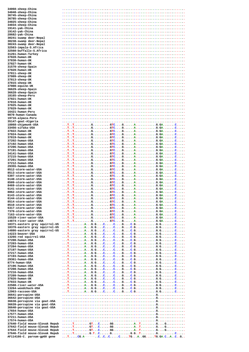| 34060-sheep-China<br>34048-sheep-China |  |
|----------------------------------------|--|
|                                        |  |
| 36745-sheep-China                      |  |
| 36785-sheep-China                      |  |
| 34025-sheep-China                      |  |
| 34034-sheep-China                      |  |
| 19141-yak-China                        |  |
| 19142-yak-China                        |  |
|                                        |  |
| 28682-yak-China                        |  |
| 30241-swamp deer-Nepal                 |  |
| 30238-swamp deer-Nepal                 |  |
| 30243-swamp deer-Nepal                 |  |
| 32563-impala-S.Africa                  |  |
| 32560-buffallo-S.Africa                |  |
| 31261-human-Turkey                     |  |
| 37828-human-UK                         |  |
| 37830-human-UK                         |  |
| 37827-human-UK                         |  |
| 31570-sheep-Spain                      |  |
| 37820-human-UK                         |  |
| 37811-sheep-UK                         |  |
| 37809-sheep-UK                         |  |
| 37813-sheep-UK                         |  |
|                                        |  |
| 37815-sheep-UK                         |  |
| 37808-equine-UK                        |  |
| 36629-sheep-Spain                      |  |
| 36628-sheep-Spain                      |  |
| 18165-sheep-Peru                       |  |
| 37821-human-UK                         |  |
| 37818-human-UK                         |  |
| 37825-human-UK                         |  |
| 37829-human-UK                         |  |
| 16421-human-Peru                       |  |
| 9870-human-Canada                      |  |
| 19716-alpaca-Peru                      |  |
| 35147-goat-Algeria                     |  |
| 18868-chipmunk-USA                     |  |
|                                        |  |
| 33456-sifaka-USA                       |  |
| 37822-human-UK                         |  |
| 37824-human-UK                         |  |
| 37819-human-UK                         |  |
| 37202-human-USA                        |  |
| 37192-human-USA                        |  |
| 37206-human-USA                        |  |
| 37191-human-USA                        |  |
| 34141-human-USA                        |  |
| 37215-human-USA                        |  |
| 37201-human-USA                        |  |
| 37212-human-USA                        |  |
| 29355-human-USA                        |  |
| 8512-storm-water-USA                   |  |
| 8513-storm-water-USA                   |  |
| 5397-storm-water-USA                   |  |
|                                        |  |
| 6140-storm-water-USA                   |  |
| 8509-storm-water-USA                   |  |
| 8469-storm-water-USA                   |  |
| 6141-storm-water-USA                   |  |
| 8062-storm-water-USA                   |  |
|                                        |  |
| 6143-storm-water-USA                   |  |
| 6144-storm-water-USA                   |  |
| 8514-storm-water-USA                   |  |
| 8510-storm-water-USA                   |  |
| 6317-storm-water-USA                   |  |
|                                        |  |
| 7370-storm-water-USA                   |  |
| 7163-storm-water-USA                   |  |
| 15529-river-water-USA                  |  |
| 14874-river-water-USA                  |  |
| 18371-eastern gray squirrel-US         |  |
| 18370-eastern gray squirrel-US         |  |
| 14886-eastern gray squirrel-US         |  |
| 14223-beaver-USA                       |  |
| 13266-red squirrel-USA                 |  |
| 37200-human-USA                        |  |
| 37203-human-USA                        |  |
| 37204-human-USA                        |  |
| 37197-human-USA                        |  |
| 37217-human-USA                        |  |
| 37193-human-USA                        |  |
| 29361-human-USA                        |  |
| 8774-human-USA                         |  |
| 37196-human-USA                        |  |
| 37208-human-USA                        |  |
| 37216-human-USA                        |  |
| 37209-human-USA                        |  |
| 37826-human-UK                         |  |
| 37833-human-UK                         |  |
|                                        |  |
| 22508-river-water-USA                  |  |
| 13264-woodchuck-USA                    |  |
| 12963-raccoon-USA                      |  |
| 36641-porcupine-USA                    |  |
| 36642-porcupine-USA                    |  |
| 36638-porcupine via goat-USA           |  |
| 36639-porcupine via goat-USA           |  |
| 36640-porcupine via goat-USA           |  |
| 17654-human-USA                        |  |
| 17577-human-USA                        |  |
| 37211-human-USA                        |  |
| 17574-human-USA                        |  |
| 37640-field mouse-Slovak Repub         |  |
| 37642-field mouse-Slovak Repub         |  |
| 37644-field mouse-Slovak Repub         |  |
| 37646-field mouse-Slovak Repub         |  |